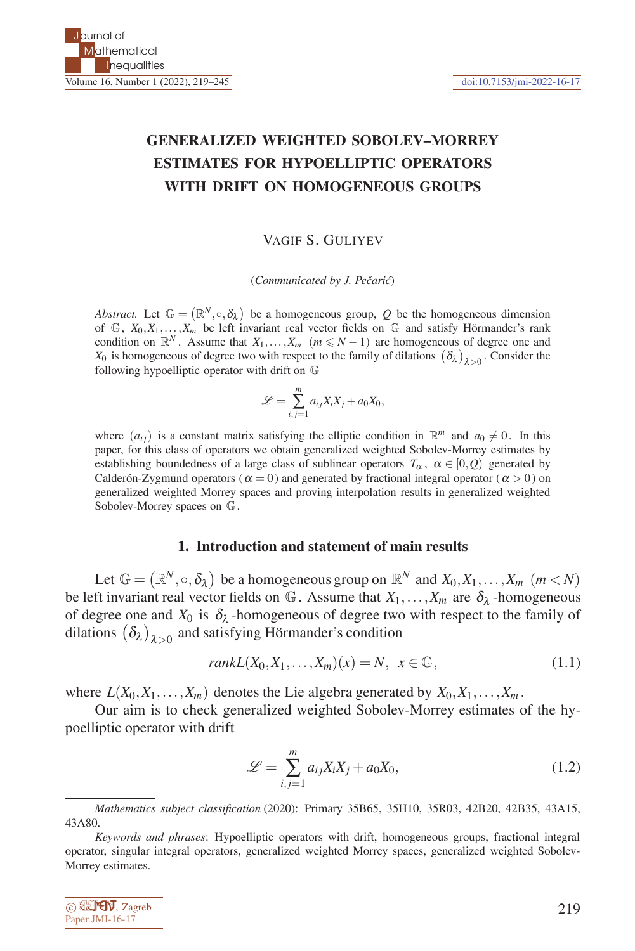# **GENERALIZED WEIGHTED SOBOLEV–MORREY ESTIMATES FOR HYPOELLIPTIC OPERATORS WITH DRIFT ON HOMOGENEOUS GROUPS**

VAGIF S. GULIYEV

(*Communicated by J. Pecari´ ˇ c*)

*Abstract.* Let  $\mathbb{G} = (\mathbb{R}^N, \circ, \delta_\lambda)$  be a homogeneous group, Q be the homogeneous dimension of  $\mathbb{G}$ ,  $X_0, X_1, \ldots, X_m$  be left invariant real vector fields on  $\mathbb{G}$  and satisfy Hörmander's rank condition on  $\mathbb{R}^N$ . Assume that  $X_1, \ldots, X_m$   $(m \le N - 1)$  are homogeneous of degree one and *X*<sub>0</sub> is homogeneous of degree two with respect to the family of dilations  $(\delta_{\lambda})_{\lambda>0}$ . Consider the following hypoelliptic operator with drift on G

$$
\mathcal{L} = \sum_{i,j=1}^{m} a_{ij} X_i X_j + a_0 X_0,
$$

where  $(a_{ij})$  is a constant matrix satisfying the elliptic condition in  $\mathbb{R}^m$  and  $a_0 \neq 0$ . In this paper, for this class of operators we obtain generalized weighted Sobolev-Morrey estimates by establishing boundedness of a large class of sublinear operators  $T_\alpha$ ,  $\alpha \in [0, Q)$  generated by Calder  $\delta$ n-Zygmund operators ( $\alpha = 0$ ) and generated by fractional integral operator ( $\alpha > 0$ ) on generalized weighted Morrey spaces and proving interpolation results in generalized weighted Sobolev-Morrey spaces on G.

#### **1. Introduction and statement of main results**

Let  $\mathbb{G} = (\mathbb{R}^N, \circ, \delta_\lambda)$  be a homogeneous group on  $\mathbb{R}^N$  and  $X_0, X_1, \ldots, X_m$   $(m < N)$ be left invariant real vector fields on  $\mathbb{G}$ . Assume that  $X_1, \ldots, X_m$  are  $\delta_{\lambda}$ -homogeneous of degree one and  $X_0$  is  $\delta_\lambda$ -homogeneous of degree two with respect to the family of dilations  $(\delta_{\lambda})_{\lambda>0}$  and satisfying Hörmander's condition

$$
rankL(X_0, X_1, \dots, X_m)(x) = N, \quad x \in \mathbb{G},
$$
\n<sup>(1.1)</sup>

where  $L(X_0, X_1, \ldots, X_m)$  denotes the Lie algebra generated by  $X_0, X_1, \ldots, X_m$ .

Our aim is to check generalized weighted Sobolev-Morrey estimates of the hypoelliptic operator with drift

$$
\mathcal{L} = \sum_{i,j=1}^{m} a_{ij} X_i X_j + a_0 X_0, \qquad (1.2)
$$

*Keywords and phrases*: Hypoelliptic operators with drift, homogeneous groups, fractional integral operator, singular integral operators, generalized weighted Morrey spaces, generalized weighted Sobolev-Morrey estimates.



*Mathematics subject classification* (2020): Primary 35B65, 35H10, 35R03, 42B20, 42B35, 43A15, 43A80.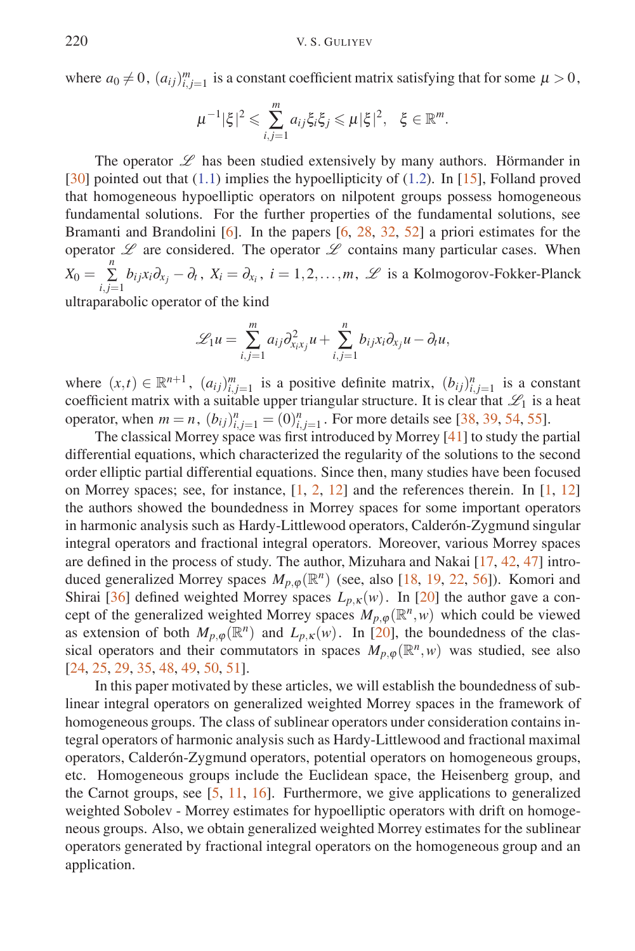where  $a_0 \neq 0$ ,  $(a_{ij})_{i,j=1}^m$  is a constant coefficient matrix satisfying that for some  $\mu > 0$ ,

$$
\mu^{-1}|\xi|^2 \leqslant \sum_{i,j=1}^m a_{ij}\xi_i\xi_j \leqslant \mu|\xi|^2, \quad \xi \in \mathbb{R}^m.
$$

The operator  $L$  has been studied extensively by many authors. Hörmander in  $[30]$  pointed out that  $(1.1)$  implies the hypoellipticity of  $(1.2)$ . In [15], Folland proved that homogeneous hypoelliptic operators on nilpotent groups possess homogeneous fundamental solutions. For the further properties of the fundamental solutions, see Bramanti and Brandolini  $[6]$ . In the papers  $[6, 28, 32, 52]$  a priori estimates for the operator  $\mathscr L$  are considered. The operator  $\mathscr L$  contains many particular cases. When  $X_0 = \sum_{i,j=1}^n b_{ij}x_i\partial_{x_j} - \partial_t$ ,  $X_i = \partial_{x_i}$ ,  $i = 1, 2, ..., m$ ,  $\mathscr{L}$  is a Kolmogorov-Fokker-Planck ultraparabolic operator of the kind

$$
\mathcal{L}_1 u = \sum_{i,j=1}^m a_{ij} \partial_{x_i x_j}^2 u + \sum_{i,j=1}^n b_{ij} x_i \partial_{x_j} u - \partial_t u,
$$

where  $(x,t) \in \mathbb{R}^{n+1}$ ,  $(a_{ij})_{i,j=1}^m$  is a positive definite matrix,  $(b_{ij})_{i,j=1}^n$  is a constant coefficient matrix with a suitable upper triangular structure. It is clear that  $\mathscr{L}_1$  is a heat operator, when  $m = n$ ,  $(b_{ij})_{i,j=1}^n = (0)_{i,j=1}^n$ . For more details see [38, 39, 54, 55].

The classical Morrey space was first introduced by Morrey [41] to study the partial differential equations, which characterized the regularity of the solutions to the second order elliptic partial differential equations. Since then, many studies have been focused on Morrey spaces; see, for instance, [1, 2, 12] and the references therein. In [1, 12] the authors showed the boundedness in Morrey spaces for some important operators in harmonic analysis such as Hardy-Littlewood operators, Calderón-Zygmund singular integral operators and fractional integral operators. Moreover, various Morrey spaces are defined in the process of study. The author, Mizuhara and Nakai [17, 42, 47] introduced generalized Morrey spaces  $M_{p,\varphi}(\mathbb{R}^n)$  (see, also [18, 19, 22, 56]). Komori and Shirai [36] defined weighted Morrey spaces  $L_{p,K}(w)$ . In [20] the author gave a concept of the generalized weighted Morrey spaces  $M_{p,\varphi}(\mathbb{R}^n,w)$  which could be viewed as extension of both  $M_{p,\varphi}(\mathbb{R}^n)$  and  $L_{p,\kappa}(w)$ . In [20], the boundedness of the classical operators and their commutators in spaces  $M_{p,\varphi}(\mathbb{R}^n,\omega)$  was studied, see also [24, 25, 29, 35, 48, 49, 50, 51].

In this paper motivated by these articles, we will establish the boundedness of sublinear integral operators on generalized weighted Morrey spaces in the framework of homogeneous groups. The class of sublinear operators under consideration contains integral operators of harmonic analysis such as Hardy-Littlewood and fractional maximal operators, Calderón-Zygmund operators, potential operators on homogeneous groups, etc. Homogeneous groups include the Euclidean space, the Heisenberg group, and the Carnot groups, see [5, 11, 16]. Furthermore, we give applications to generalized weighted Sobolev - Morrey estimates for hypoelliptic operators with drift on homogeneous groups. Also, we obtain generalized weighted Morrey estimates for the sublinear operators generated by fractional integral operators on the homogeneous group and an application.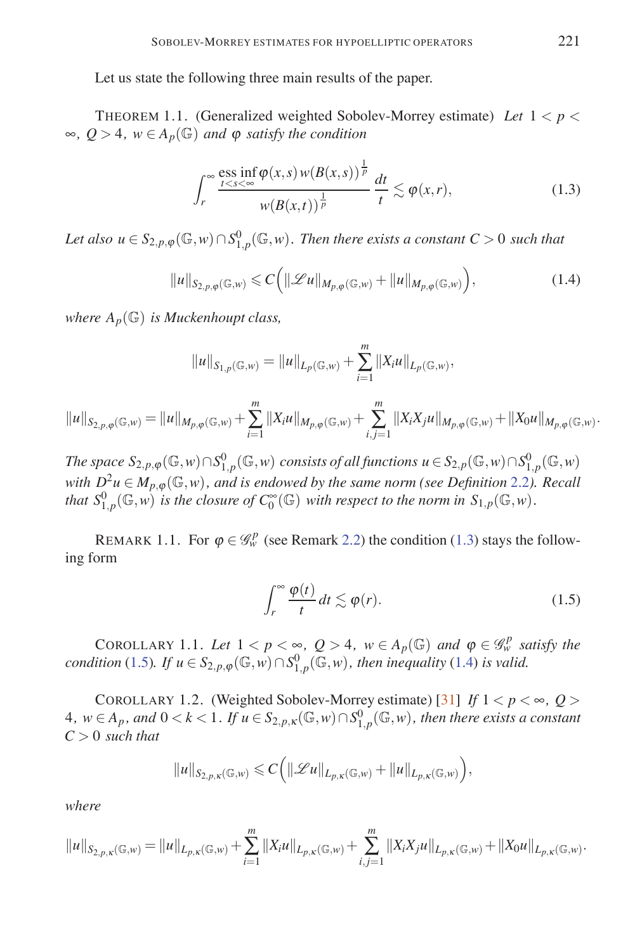Let us state the following three main results of the paper.

THEOREM 1.1. (Generalized weighted Sobolev-Morrey estimate) *Let* 1 *< p <* ∞*, Q >* 4*, w* ∈ *Ap*(G) *and* <sup>ϕ</sup> *satisfy the condition*

$$
\int_{r}^{\infty} \frac{\text{ess inf } \varphi(x, s) w(B(x, s))}{\frac{1}{p} \pi} \frac{dt}{t} \lesssim \varphi(x, r), \tag{1.3}
$$

 $Let \ also \ u \in S_{2,p,\phi}(\mathbb{G},w) \cap S^0_{1,p}(\mathbb{G},w)$ . Then there exists a constant  $C > 0$  such that

$$
||u||_{S_{2,p,\varphi}(\mathbb{G},w)} \leqslant C\Big(||\mathscr{L}u||_{M_{p,\varphi}(\mathbb{G},w)} + ||u||_{M_{p,\varphi}(\mathbb{G},w)}\Big),\tag{1.4}
$$

*where*  $A_p(\mathbb{G})$  *is Muckenhoupt class,* 

$$
||u||_{S_{1,p}(\mathbb{G},w)} = ||u||_{L_p(\mathbb{G},w)} + \sum_{i=1}^m ||X_iu||_{L_p(\mathbb{G},w)},
$$

$$
||u||_{S_{2,p,\varphi}(\mathbb{G},w)} = ||u||_{M_{p,\varphi}(\mathbb{G},w)} + \sum_{i=1}^m ||X_iu||_{M_{p,\varphi}(\mathbb{G},w)} + \sum_{i,j=1}^m ||X_iX_ju||_{M_{p,\varphi}(\mathbb{G},w)} + ||X_0u||_{M_{p,\varphi}(\mathbb{G},w)}.
$$

The space  $S_{2,p,\varphi}(\mathbb{G},w)\cap S^0_{1,p}(\mathbb{G},w)$  consists of all functions  $u\in S_{2,p}(\mathbb{G},w)\cap S^0_{1,p}(\mathbb{G},w)$ *with*  $D^2u \in M_{p,\varphi}(\mathbb{G},w)$ , and is endowed by the same norm (see Definition 2.2). Recall *that*  $S^0_{1,p}(\mathbb{G}, w)$  *is the closure of*  $C_0^{\infty}(\mathbb{G})$  *with respect to the norm in*  $S_{1,p}(\mathbb{G}, w)$ *.* 

REMARK 1.1. For  $\varphi \in \mathcal{G}_w^p$  (see Remark 2.2) the condition (1.3) stays the following form

$$
\int_{r}^{\infty} \frac{\varphi(t)}{t} dt \lesssim \varphi(r). \tag{1.5}
$$

COROLLARY 1.1. Let  $1 < p < \infty$ ,  $Q > 4$ ,  $w \in A_p(\mathbb{G})$  and  $\varphi \in \mathcal{G}_w^p$  satisfy the *condition* (1.5)*.* If  $u \in S_{2,p,\varphi}(\mathbb{G},w) \cap S_{1,p}^0(\mathbb{G},w)$ *, then inequality* (1.4) *is valid.* 

COROLLARY 1.2. (Weighted Sobolev-Morrey estimate) [31] *If*  $1 < p < \infty$ ,  $Q >$ 4*, w* ∈ *Ap , and* 0 *< k <* 1*. If u* ∈ *S*2*,p,*κ(G*,w*)∩*S*<sup>0</sup> <sup>1</sup>*,p*(G*,w*)*, then there exists a constant C >* 0 *such that*

$$
\|u\|_{S_{2,p,\kappa}({\mathbb G},w)}\leqslant C\Big(\|{\mathscr L} u\|_{L_{p,\kappa}({\mathbb G},w)}+\|u\|_{L_{p,\kappa}({\mathbb G},w)}\Big),
$$

*where*

$$
||u||_{S_{2,p,\kappa}(\mathbb{G},w)} = ||u||_{L_{p,\kappa}(\mathbb{G},w)} + \sum_{i=1}^m ||X_iu||_{L_{p,\kappa}(\mathbb{G},w)} + \sum_{i,j=1}^m ||X_iX_ju||_{L_{p,\kappa}(\mathbb{G},w)} + ||X_0u||_{L_{p,\kappa}(\mathbb{G},w)}.
$$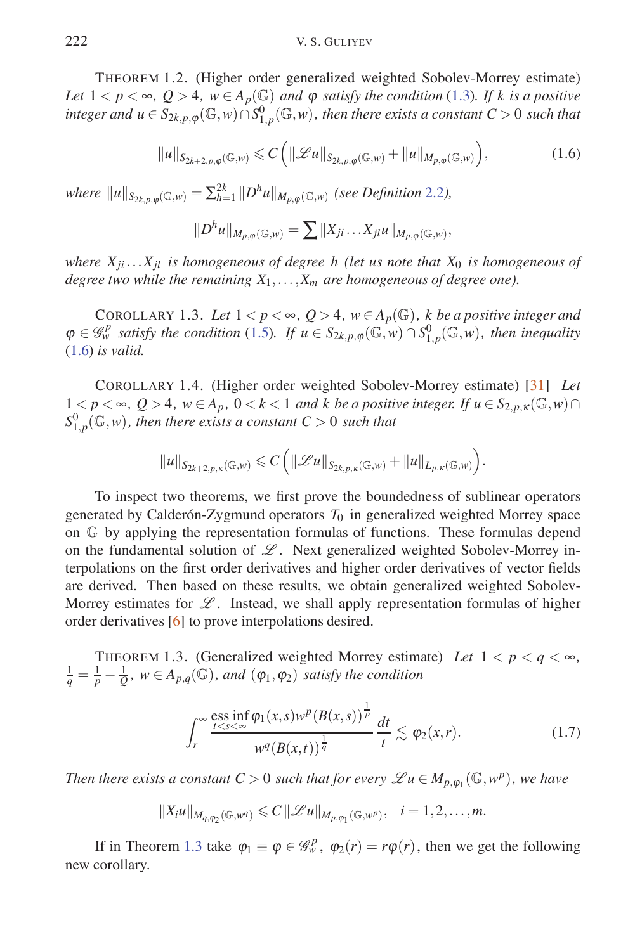THEOREM 1.2. (Higher order generalized weighted Sobolev-Morrey estimate) *Let*  $1 < p < \infty$ ,  $Q > 4$ ,  $w \in A_p(\mathbb{G})$  *and*  $\varphi$  *satisfy the condition* (1.3)*. If k is a positive*  $i$ *nteger and*  $u \in S_{2k,p,\varphi}(\mathbb{G},w) \cap S^0_{1,p}(\mathbb{G},w)$ *, then there exists a constant*  $C > 0$  *such that* 

$$
||u||_{S_{2k+2,p,\varphi}(\mathbb{G},w)} \leqslant C\left(||\mathscr{L}u||_{S_{2k,p,\varphi}(\mathbb{G},w)} + ||u||_{M_{p,\varphi}(\mathbb{G},w)}\right),\tag{1.6}
$$

*where*  $||u||_{S_{2k,p,\varphi}(\mathbb{G},w)} = \sum_{h=1}^{2k} ||D^h u||_{M_{p,\varphi}(\mathbb{G},w)}$  (see Definition 2.2),

$$
||D^h u||_{M_{p,\varphi}(\mathbb{G},w)} = \sum ||X_{ji} \dots X_{jl} u||_{M_{p,\varphi}(\mathbb{G},w)},
$$

*where*  $X_{ji} \ldots X_{il}$  *is homogeneous of degree h (let us note that*  $X_0$  *is homogeneous of degree two while the remaining*  $X_1, \ldots, X_m$  *are homogeneous of degree one*).

COROLLARY 1.3. Let  $1 < p < \infty$ ,  $Q > 4$ ,  $w \in A_p(\mathbb{G})$ , k be a positive integer and  $\varphi \in \mathscr{G}_{w}^{p}$  *satisfy the condition* (1.5)*.* If  $u \in S_{2k, p, \varphi}(\mathbb{G}, w) \cap S_{1, p}^{0}(\mathbb{G}, w)$ , then inequality (1.6) *is valid.*

COROLLARY 1.4. (Higher order weighted Sobolev-Morrey estimate) [31] *Let*  $1 < p < \infty$ ,  $Q > 4$ ,  $w \in A_p$ ,  $0 < k < 1$  and k be a positive integer. If  $u \in S_{2,p,K}(\mathbb{G},w) \cap A$  $S_{1,p}^0(\mathbb{G},w)$ , then there exists a constant  $C>0$  such that

$$
\|u\|_{S_{2k+2,p,\kappa}({\mathbb G},w)}\leqslant C\Big(\|\mathscr{L}u\|_{S_{2k,p,\kappa}({\mathbb G},w)}+\|u\|_{L_{p,\kappa}({\mathbb G},w)}\Big).
$$

To inspect two theorems, we first prove the boundedness of sublinear operators generated by Calderón-Zygmund operators  $T_0$  in generalized weighted Morrey space on G by applying the representation formulas of functions. These formulas depend on the fundamental solution of *L* . Next generalized weighted Sobolev-Morrey interpolations on the first order derivatives and higher order derivatives of vector fields are derived. Then based on these results, we obtain generalized weighted Sobolev-Morrey estimates for *L* . Instead, we shall apply representation formulas of higher order derivatives [6] to prove interpolations desired.

THEOREM 1.3. (Generalized weighted Morrey estimate) Let  $1 < p < q < \infty$ ,  $\frac{1}{q} = \frac{1}{p} - \frac{1}{Q}$ *,*  $w \in A_{p,q}(\mathbb{G})$ *, and*  $(\varphi_1, \varphi_2)$  *satisfy the condition* 

$$
\int_{r}^{\infty} \frac{\text{ess inf } \varphi_1(x, s) w^p (B(x, s))^{\frac{1}{p}}}{w^q (B(x, t))^{\frac{1}{q}}} \frac{dt}{t} \lesssim \varphi_2(x, r). \tag{1.7}
$$

*Then there exists a constant*  $C > 0$  *such that for every*  $\mathscr{L}u \in M_{p,\varphi_1}(\mathbb{G},w^p)$ *, we have* 

$$
||X_iu||_{M_{q,\varphi_2}(\mathbb{G},w^q)} \leqslant C||\mathscr{L}u||_{M_{p,\varphi_1}(\mathbb{G},w^p)}, \quad i=1,2,\ldots,m.
$$

If in Theorem 1.3 take  $\varphi_1 \equiv \varphi \in \mathcal{G}_w^p$ ,  $\varphi_2(r) = r\varphi(r)$ , then we get the following new corollary.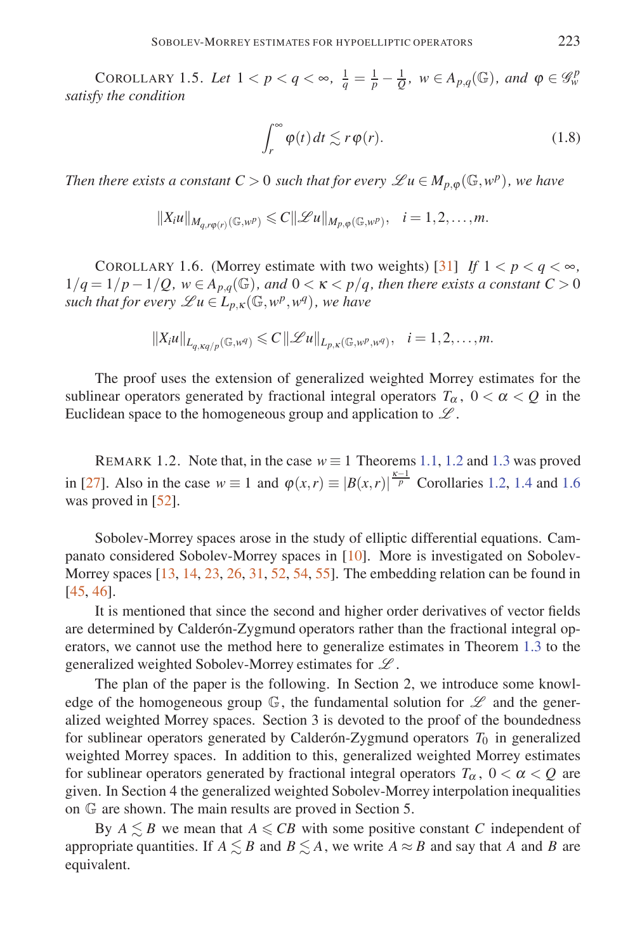COROLLARY 1.5. Let  $1 < p < q < \infty$ ,  $\frac{1}{q} = \frac{1}{p} - \frac{1}{Q}$ ,  $w \in A_{p,q}(\mathbb{G})$ , and  $\varphi \in \mathscr{G}_{w}^{p}$ *satisfy the condition*

$$
\int_{r}^{\infty} \varphi(t) dt \lesssim r \varphi(r). \tag{1.8}
$$

*Then there exists a constant*  $C > 0$  *such that for every*  $\mathscr{L}u \in M_{n, \omega}(\mathbb{G}, w^p)$ , we have

$$
||X_iu||_{M_{q,r\varphi(r)}(\mathbb{G},w^p)} \leq C||\mathscr{L}u||_{M_{p,\varphi}(\mathbb{G},w^p)}, \quad i=1,2,\ldots,m.
$$

COROLLARY 1.6. (Morrey estimate with two weights) [31] *If*  $1 < p < q < \infty$ ,  $1/q = 1/p - 1/Q$ ,  $w \in A_{p,q}(\mathbb{G})$ , and  $0 < \kappa < p/q$ , then there exists a constant  $C > 0$ *such that for every*  $\mathscr{L}u \in L_{p,K}(\mathbb{G},w^p,w^q)$ , we have

$$
||X_iu||_{L_{q,\kappa q/p}(\mathbb{G},w^q)} \leqslant C||\mathscr{L}u||_{L_{p,\kappa}(\mathbb{G},w^p,w^q)}, \quad i=1,2,\ldots,m.
$$

The proof uses the extension of generalized weighted Morrey estimates for the sublinear operators generated by fractional integral operators  $T_{\alpha}$ ,  $0 < \alpha < Q$  in the Euclidean space to the homogeneous group and application to *L* .

REMARK 1.2. Note that, in the case  $w \equiv 1$  Theorems 1.1, 1.2 and 1.3 was proved in [27]. Also in the case  $w \equiv 1$  and  $\varphi(x,r) \equiv |B(x,r)|^{\frac{\kappa-1}{p}}$  Corollaries 1.2, 1.4 and 1.6 was proved in [52].

Sobolev-Morrey spaces arose in the study of elliptic differential equations. Campanato considered Sobolev-Morrey spaces in [10]. More is investigated on Sobolev-Morrey spaces  $[13, 14, 23, 26, 31, 52, 54, 55]$ . The embedding relation can be found in [45, 46].

It is mentioned that since the second and higher order derivatives of vector fields are determined by Calderón-Zygmund operators rather than the fractional integral operators, we cannot use the method here to generalize estimates in Theorem 1.3 to the generalized weighted Sobolev-Morrey estimates for *L* .

The plan of the paper is the following. In Section 2, we introduce some knowledge of the homogeneous group  $\mathbb{G}$ , the fundamental solution for  $\mathscr{L}$  and the generalized weighted Morrey spaces. Section 3 is devoted to the proof of the boundedness for sublinear operators generated by Calderón-Zygmund operators  $T_0$  in generalized weighted Morrey spaces. In addition to this, generalized weighted Morrey estimates for sublinear operators generated by fractional integral operators  $T_\alpha$ ,  $0 < \alpha < Q$  are given. In Section 4 the generalized weighted Sobolev-Morrey interpolation inequalities on G are shown. The main results are proved in Section 5.

By  $A \leq B$  we mean that  $A \leqslant CB$  with some positive constant *C* independent of appropriate quantities. If  $A \leq B$  and  $B \leq A$ , we write  $A \approx B$  and say that A and B are equivalent.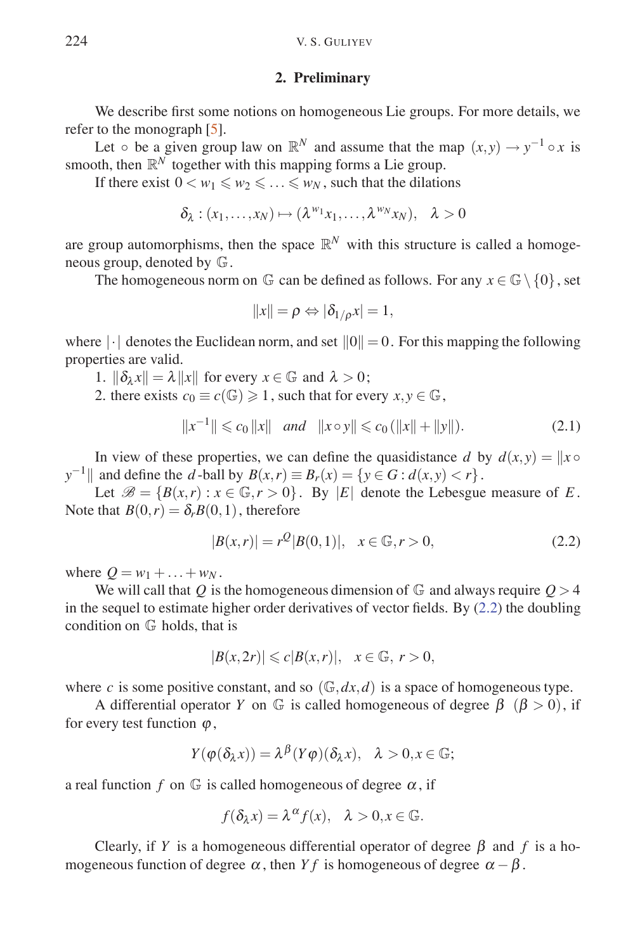### **2. Preliminary**

We describe first some notions on homogeneous Lie groups. For more details, we refer to the monograph [5].

Let  $\circ$  be a given group law on  $\mathbb{R}^N$  and assume that the map  $(x, y) \to y^{-1} \circ x$  is smooth, then  $\mathbb{R}^N$  together with this mapping forms a Lie group.

If there exist  $0 < w_1 \leq w_2 \leq \ldots \leq w_N$ , such that the dilations

$$
\delta_{\lambda} : (x_1, \ldots, x_N) \mapsto (\lambda^{w_1} x_1, \ldots, \lambda^{w_N} x_N), \quad \lambda > 0
$$

are group automorphisms, then the space  $\mathbb{R}^N$  with this structure is called a homogeneous group, denoted by G.

The homogeneous norm on  $\mathbb G$  can be defined as follows. For any  $x \in \mathbb G \setminus \{0\}$ , set

$$
||x|| = \rho \Leftrightarrow |\delta_{1/\rho} x| = 1,
$$

where  $\lvert \cdot \rvert$  denotes the Euclidean norm, and set  $\lVert 0 \rVert = 0$ . For this mapping the following properties are valid.

- 1.  $\|\delta_\lambda x\| = \lambda \|x\|$  for every  $x \in \mathbb{G}$  and  $\lambda > 0$ ;
- 2. there exists  $c_0 \equiv c(\mathbb{G}) \geq 1$ , such that for every  $x, y \in \mathbb{G}$ ,

$$
||x^{-1}|| \le c_0 ||x|| \quad and \quad ||x \circ y|| \le c_0 (||x|| + ||y||). \tag{2.1}
$$

In view of these properties, we can define the quasidistance *d* by  $d(x, y) = ||x \circ$ *y*<sup>−1</sup>|| and define the *d* -ball by  $B(x, r) \equiv B_r(x) = \{y \in G : d(x, y) < r\}$ .

Let  $\mathscr{B} = \{B(x,r) : x \in \mathbb{G}, r > 0\}$ . By |*E*| denote the Lebesgue measure of *E*. Note that  $B(0,r) = \delta_r B(0,1)$ , therefore

$$
|B(x,r)| = r^{\mathcal{Q}}|B(0,1)|, \quad x \in \mathbb{G}, r > 0,
$$
\n(2.2)

where  $Q = w_1 + ... + w_N$ .

We will call that Q is the homogeneous dimension of  $\mathbb{G}$  and always require  $Q > 4$ in the sequel to estimate higher order derivatives of vector fields. By  $(2.2)$  the doubling condition on G holds, that is

$$
|B(x, 2r)| \leq c|B(x, r)|, \quad x \in \mathbb{G}, r > 0,
$$

where *c* is some positive constant, and so  $(\mathbb{G}, dx, d)$  is a space of homogeneous type.

A differential operator *Y* on  $\mathbb{G}$  is called homogeneous of degree  $\beta$  ( $\beta > 0$ ), if for every test function  $\varphi$ ,

$$
Y(\varphi(\delta_\lambda x)) = \lambda^\beta (Y\varphi)(\delta_\lambda x), \quad \lambda > 0, x \in \mathbb{G};
$$

a real function  $f$  on  $\mathbb G$  is called homogeneous of degree  $\alpha$ , if

$$
f(\delta_{\lambda} x) = \lambda^{\alpha} f(x), \quad \lambda > 0, x \in \mathbb{G}.
$$

Clearly, if *Y* is a homogeneous differential operator of degree  $\beta$  and *f* is a homogeneous function of degree  $\alpha$ , then *Y f* is homogeneous of degree  $\alpha - \beta$ .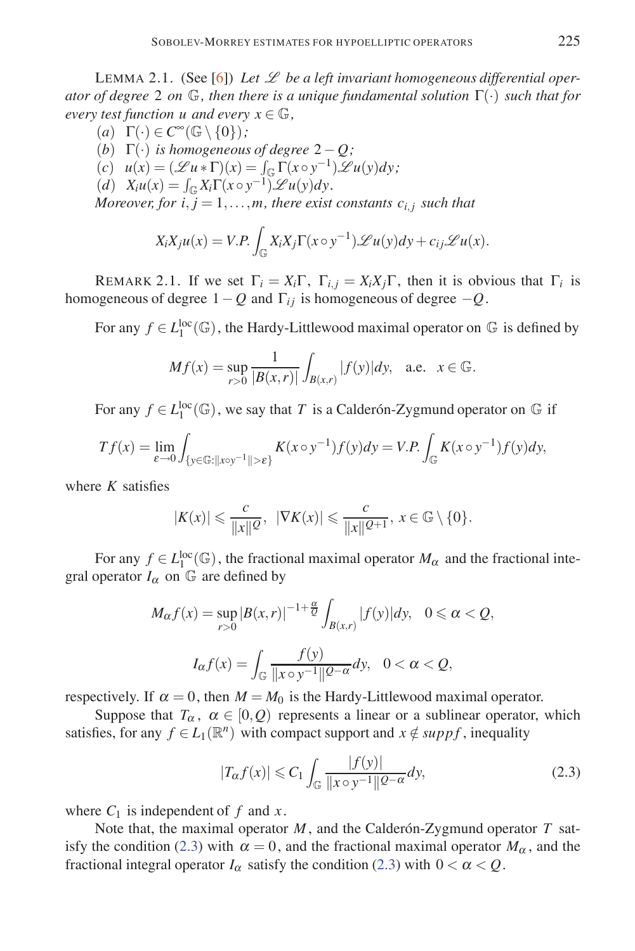LEMMA 2.1. (See [6]) *Let L be a left invariant homogeneous differential operator of degree* 2 *on* G*, then there is a unique fundamental solution* Γ(·) *such that for every test function u and every*  $x \in \mathbb{G}$ ,

 $(a) \Gamma(\cdot) \in C^{\infty}(\mathbb{G} \setminus \{0\})$ ; (*b*) Γ(·) *is homogeneous of degree* 2−*Q ;*  $(u(x) = (\mathscr{L} u * \Gamma)(x) = \int_{\mathbb{G}} \Gamma(x \circ y^{-1}) \mathscr{L} u(y) dy;$  $(d)$   $X_iu(x) = \int_{\mathbb{G}} X_i\Gamma(x \circ y^{-1}) \mathscr{L}u(y)dy.$ *Moreover, for*  $i, j = 1, \ldots, m$ *, there exist constants*  $c_{i,j}$  *such that* 

$$
X_i X_j u(x) = V.P. \int_{\mathbb{G}} X_i X_j \Gamma(x \circ y^{-1}) \mathscr{L} u(y) dy + c_{ij} \mathscr{L} u(x).
$$

REMARK 2.1. If we set  $\Gamma_i = X_i \Gamma$ ,  $\Gamma_{i,i} = X_i X_i \Gamma$ , then it is obvious that  $\Gamma_i$  is homogeneous of degree  $1-Q$  and  $\Gamma_{ij}$  is homogeneous of degree  $-Q$ .

For any  $f \in L_1^{\text{loc}}(\mathbb{G})$ , the Hardy-Littlewood maximal operator on  $\mathbb{G}$  is defined by

$$
Mf(x) = \sup_{r>0} \frac{1}{|B(x,r)|} \int_{B(x,r)} |f(y)| dy
$$
, a.e.  $x \in \mathbb{G}$ .

For any  $f \in L_1^{\text{loc}}(\mathbb{G})$ , we say that *T* is a Calder on-Zygmund operator on  $\mathbb{G}$  if

$$
Tf(x) = \lim_{\varepsilon \to 0} \int_{\{y \in \mathbb{G} : ||x \circ y^{-1}|| > \varepsilon\}} K(x \circ y^{-1}) f(y) dy = V.P. \int_{\mathbb{G}} K(x \circ y^{-1}) f(y) dy,
$$

where *K* satisfies

$$
|K(x)| \leqslant \frac{c}{\|x\| \mathcal{Q}}, \ \ |\nabla K(x)| \leqslant \frac{c}{\|x\| \mathcal{Q}+1}, \ x \in \mathbb{G} \setminus \{0\}.
$$

For any  $f \in L_1^{\text{loc}}(\mathbb{G})$ , the fractional maximal operator  $M_\alpha$  and the fractional integral operator  $I_{\alpha}$  on  $\mathbb{G}$  are defined by

$$
M_{\alpha}f(x) = \sup_{r>0} |B(x,r)|^{-1+\frac{\alpha}{Q}} \int_{B(x,r)} |f(y)| dy, \quad 0 \le \alpha < \Omega,
$$
  

$$
I_{\alpha}f(x) = \int_{\mathbb{G}} \frac{f(y)}{\|x \circ y^{-1}\|^{Q-\alpha}} dy, \quad 0 < \alpha < \Omega,
$$

respectively. If  $\alpha = 0$ , then  $M = M_0$  is the Hardy-Littlewood maximal operator.

Suppose that  $T_\alpha$ ,  $\alpha \in [0, Q)$  represents a linear or a sublinear operator, which satisfies, for any  $f \in L_1(\mathbb{R}^n)$  with compact support and  $x \notin supp f$ , inequality

$$
|T_{\alpha}f(x)| \leq C_1 \int_{\mathbb{G}} \frac{|f(y)|}{\|x \circ y^{-1}\| \mathcal{Q}^{-\alpha}} dy,\tag{2.3}
$$

where  $C_1$  is independent of  $f$  and  $x$ .

Note that, the maximal operator  $M$ , and the Calder on-Zygmund operator  $T$  satisfy the condition (2.3) with  $\alpha = 0$ , and the fractional maximal operator  $M_{\alpha}$ , and the fractional integral operator  $I_{\alpha}$  satisfy the condition (2.3) with  $0 < \alpha < Q$ .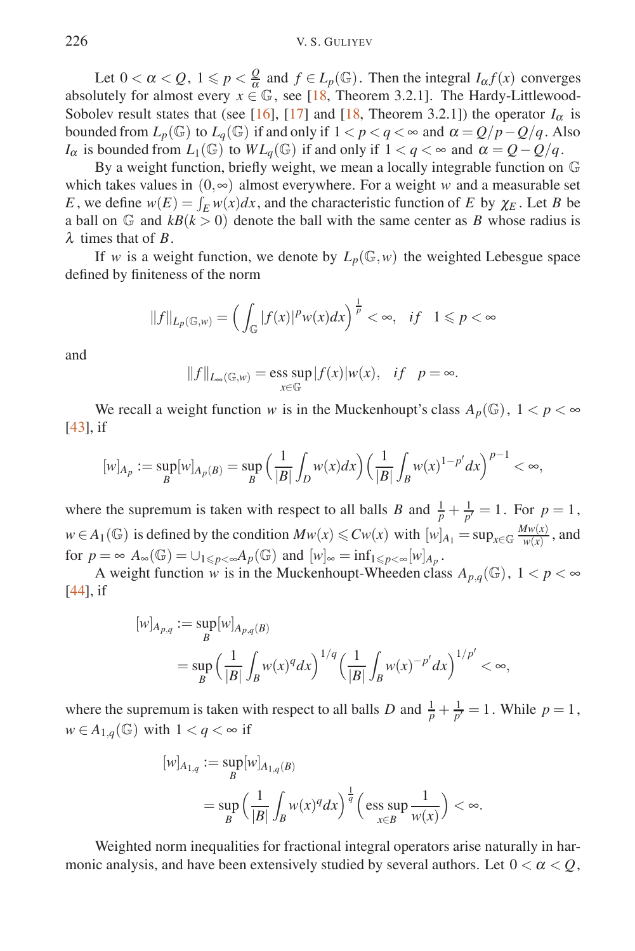Let  $0 < \alpha < Q$ ,  $1 \leqslant p < \frac{Q}{\alpha}$  and  $f \in L_p(\mathbb{G})$ . Then the integral  $I_\alpha f(x)$  converges absolutely for almost every  $x \in \mathbb{G}$ , see [18, Theorem 3.2.1]. The Hardy-Littlewood-Sobolev result states that (see [16], [17] and [18, Theorem 3.2.1]) the operator  $I_{\alpha}$  is bounded from  $L_p(\mathbb{G})$  to  $L_q(\mathbb{G})$  if and only if  $1 < p < q < \infty$  and  $\alpha = \mathcal{Q}/p - \mathcal{Q}/q$ . Also *I*<sub>α</sub> is bounded from  $L_1(\mathbb{G})$  to  $WL_q(\mathbb{G})$  if and only if  $1 < q < \infty$  and  $\alpha = Q - Q/q$ .

By a weight function, briefly weight, we mean a locally integrable function on G which takes values in  $(0, \infty)$  almost everywhere. For a weight *w* and a measurable set *E*, we define  $w(E) = \int_E w(x) dx$ , and the characteristic function of *E* by  $\chi_E$ . Let *B* be a ball on  $\mathbb{G}$  and  $kB(k>0)$  denote the ball with the same center as *B* whose radius is λ times that of *B*.

If *w* is a weight function, we denote by  $L_p(\mathbb{G}, w)$  the weighted Lebesgue space defined by finiteness of the norm

$$
||f||_{L_p(\mathbb{G},w)}=\Big(\int_{\mathbb{G}}|f(x)|^pw(x)dx\Big)^{\frac{1}{p}}<\infty,\quad if\quad 1\leqslant p<\infty
$$

and

$$
||f||_{L_{\infty}(\mathbb{G},w)} = \underset{x \in \mathbb{G}}{\mathrm{ess}} \sup |f(x)|w(x), \quad if \quad p = \infty.
$$

We recall a weight function *w* is in the Muckenhoupt's class  $A_p(\mathbb{G})$ ,  $1 < p < \infty$ [43], if

$$
[w]_{A_p} := \sup_B [w]_{A_p(B)} = \sup_B \left(\frac{1}{|B|} \int_D w(x) dx\right) \left(\frac{1}{|B|} \int_B w(x)^{1-p'} dx\right)^{p-1} < \infty,
$$

where the supremum is taken with respect to all balls *B* and  $\frac{1}{p} + \frac{1}{p'} = 1$ . For  $p = 1$ , *w* ∈ *A*<sub>1</sub>(<del>G</del>) is defined by the condition  $Mw(x)$  ≤  $Cw(x)$  with  $[w]_{A_1} = sup_{x \in G} \frac{Mw(x)}{w(x)}$ , and for  $p = \infty$   $A_{\infty}(\mathbb{G}) = \cup_{1 \leq p < \infty} A_p(\mathbb{G})$  and  $[w]_{\infty} = \inf_{1 \leq p < \infty} [w]_{A_p}$ .

A weight function *w* is in the Muckenhoupt-Wheeden class  $A_{p,q}(\mathbb{G})$ ,  $1 < p < \infty$ [44], if

$$
\begin{aligned} [w]_{A_{p,q}} &:= \sup_B [w]_{A_{p,q}(B)} \\ & = \sup_B \left( \frac{1}{|B|} \int_B w(x)^q dx \right)^{1/q} \left( \frac{1}{|B|} \int_B w(x)^{-p'} dx \right)^{1/p'} < \infty, \end{aligned}
$$

where the supremum is taken with respect to all balls *D* and  $\frac{1}{p} + \frac{1}{p'} = 1$ . While  $p = 1$ ,  $w \in A_{1,q}(\mathbb{G})$  with  $1 < q < \infty$  if

$$
\begin{aligned} [w]_{A_{1,q}} &:= \sup_B [w]_{A_{1,q}(B)} \\ & = \sup_B \left( \frac{1}{|B|} \int_B w(x)^q dx \right)^{\frac{1}{q}} \left( \operatorname{ess} \sup_{x \in B} \frac{1}{w(x)} \right) < \infty. \end{aligned}
$$

Weighted norm inequalities for fractional integral operators arise naturally in harmonic analysis, and have been extensively studied by several authors. Let  $0 < \alpha < Q$ ,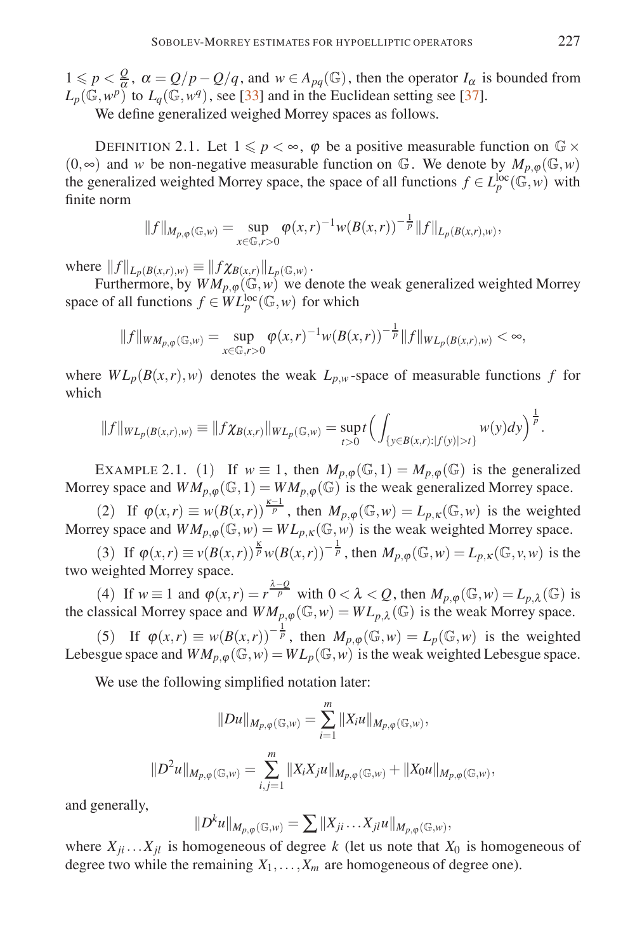$1 \leq p < \frac{Q}{\alpha}$ ,  $\alpha = Q/p - Q/q$ , and  $w \in A_{pq}(\mathbb{G})$ , then the operator  $I_{\alpha}$  is bounded from  $L_p(\mathbb{G}, w^p)$  to  $L_q(\mathbb{G}, w^q)$ , see [33] and in the Euclidean setting see [37].

We define generalized weighed Morrey spaces as follows.

DEFINITION 2.1. Let  $1 \leq p < \infty$ ,  $\varphi$  be a positive measurable function on  $\mathbb{G} \times$ (0,∞) and *w* be non-negative measurable function on  $\mathbb{G}$ . We denote by  $M_{p,\omega}(\mathbb{G},w)$ the generalized weighted Morrey space, the space of all functions  $f \in L_p^{\text{loc}}(\mathbb{G}, w)$  with finite norm

$$
||f||_{M_{p,\varphi}(\mathbb{G},w)} = \sup_{x \in \mathbb{G},r>0} \varphi(x,r)^{-1} w(B(x,r))^{-\frac{1}{p}} ||f||_{L_p(B(x,r),w)},
$$

where  $||f||_{L_p(B(x,r),w)} \equiv ||f \chi_{B(x,r)}||_{L_p(\mathbb{G},w)}$ .

Furthermore, by  $WM_{p,\varphi}(\mathbb{G},w)$  we denote the weak generalized weighted Morrey space of all functions  $f \in WL_p^{\text{loc}}(\mathbb{G}, w)$  for which

$$
||f||_{WM_{p,\varphi}(\mathbb{G},w)} = \sup_{x \in \mathbb{G},r>0} \varphi(x,r)^{-1}w(B(x,r))^{-\frac{1}{p}}||f||_{WL_p(B(x,r),w)} < \infty,
$$

where  $WL_p(B(x,r), w)$  denotes the weak  $L_{p,w}$ -space of measurable functions *f* for which

$$
||f||_{WL_p(B(x,r),w)} \equiv ||f\chi_{B(x,r)}||_{WL_p(\mathbb{G},w)} = \sup_{t>0} t \Big( \int_{\{y \in B(x,r): |f(y)| > t\}} w(y) dy \Big)^{\frac{1}{p}}.
$$

EXAMPLE 2.1. (1) If  $w \equiv 1$ , then  $M_{p,\varphi}(\mathbb{G},1) = M_{p,\varphi}(\mathbb{G})$  is the generalized Morrey space and  $WM_{p,\varphi}(\mathbb{G},1) = WM_{p,\varphi}(\mathbb{G})$  is the weak generalized Morrey space.

(2) If  $\varphi(x,r) \equiv w(B(x,r))^{\frac{\kappa-1}{p}}$ , then  $M_{p,\varphi}(\mathbb{G},w) = L_{p,\kappa}(\mathbb{G},w)$  is the weighted Morrey space and  $WM_{p,\omega}(\mathbb{G},w) = WL_{p,K}(\mathbb{G},w)$  is the weak weighted Morrey space.

(3) If  $\varphi(x,r) \equiv v(B(x,r))^{\frac{\kappa}{p}} w(B(x,r))^{-\frac{1}{p}}$ , then  $M_{p,\varphi}(\mathbb{G},w) = L_{p,\kappa}(\mathbb{G},v,w)$  is the two weighted Morrey space.

(4) If  $w \equiv 1$  and  $\varphi(x,r) = r^{\frac{\lambda-Q}{p}}$  with  $0 < \lambda < Q$ , then  $M_{p,\varphi}(\mathbb{G},w) = L_{p,\lambda}(\mathbb{G})$  is the classical Morrey space and  $WM_{p,\varphi}(\mathbb{G},w) = WL_{p,\lambda}(\mathbb{G})$  is the weak Morrey space.

(5) If  $\varphi(x,r) \equiv w(B(x,r))^{-\frac{1}{p}}$ , then  $M_{p,\varphi}(\mathbb{G},w) = L_p(\mathbb{G},w)$  is the weighted Lebesgue space and  $WM_{p,\varphi}(\mathbb{G},w) = WL_p(\mathbb{G},w)$  is the weak weighted Lebesgue space.

We use the following simplified notation later:

$$
||Du||_{M_{p,\varphi}(\mathbb{G},w)} = \sum_{i=1}^{m} ||X_iu||_{M_{p,\varphi}(\mathbb{G},w)},
$$
  

$$
||D^2u||_{M_{p,\varphi}(\mathbb{G},w)} = \sum_{i,j=1}^{m} ||X_iX_ju||_{M_{p,\varphi}(\mathbb{G},w)} + ||X_0u||_{M_{p,\varphi}(\mathbb{G},w)},
$$

and generally,

$$
||D^k u||_{M_{p,\varphi}(\mathbb{G},w)} = \sum ||X_{ji} \dots X_{jl} u||_{M_{p,\varphi}(\mathbb{G},w)},
$$

where  $X_{ji} \ldots X_{jl}$  is homogeneous of degree *k* (let us note that  $X_0$  is homogeneous of degree two while the remaining  $X_1, \ldots, X_m$  are homogeneous of degree one).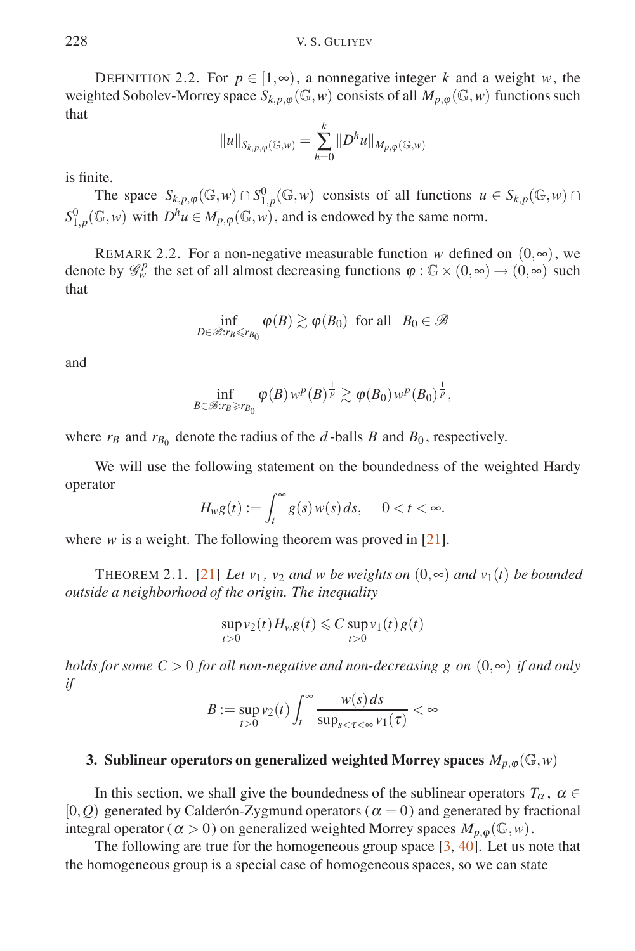DEFINITION 2.2. For  $p \in [1, \infty)$ , a nonnegative integer k and a weight w, the weighted Sobolev-Morrey space  $S_{k,p,q}(\mathbb{G},w)$  consists of all  $M_{p,q}(\mathbb{G},w)$  functions such that

$$
||u||_{S_{k,p,\varphi}(\mathbb{G},w)} = \sum_{h=0}^{k} ||D^h u||_{M_{p,\varphi}(\mathbb{G},w)}
$$

is finite.

The space  $S_{k,p,\varphi}(\mathbb{G},w) \cap S^0_{1,p}(\mathbb{G},w)$  consists of all functions  $u \in S_{k,p}(\mathbb{G},w) \cap S^0_{1,p}(\mathbb{G},w)$  $S_{1,p}^0(\mathbb{G}, w)$  with  $D^h u \in M_{p,\varphi}(\mathbb{G}, w)$ , and is endowed by the same norm.

REMARK 2.2. For a non-negative measurable function *w* defined on  $(0, \infty)$ , we denote by  $\mathscr{G}_{w}^{p}$  the set of all almost decreasing functions  $\varphi : \mathbb{G} \times (0, \infty) \to (0, \infty)$  such that

$$
\inf_{D \in \mathscr{B}: r_B \leq r_{B_0}} \varphi(B) \gtrsim \varphi(B_0) \text{ for all } B_0 \in \mathscr{B}
$$

and

$$
\inf_{B\in\mathscr{B}:r_B\geqslant r_{B_0}}\varphi(B)\,w^p(B)^{\frac{1}{p}}\gtrsim \varphi(B_0)\,w^p(B_0)^{\frac{1}{p}},
$$

where  $r_B$  and  $r_{B_0}$  denote the radius of the *d*-balls *B* and  $B_0$ , respectively.

We will use the following statement on the boundedness of the weighted Hardy operator

$$
H_w g(t) := \int_t^\infty g(s) w(s) \, ds, \quad 0 < t < \infty.
$$

where *w* is a weight. The following theorem was proved in [21].

THEOREM 2.1. [21] Let  $v_1$ ,  $v_2$  and w be weights on  $(0, \infty)$  and  $v_1(t)$  be bounded *outside a neighborhood of the origin. The inequality*

$$
\sup_{t>0} v_2(t) H_w g(t) \leqslant C \sup_{t>0} v_1(t) g(t)
$$

*holds for some C* > 0 *for all non-negative and non-decreasing g on*  $(0, \infty)$  *if and only if*

$$
B := \sup_{t>0} v_2(t) \int_t^{\infty} \frac{w(s) ds}{\sup_{s < \tau < \infty} v_1(\tau)} < \infty
$$

#### **3. Sublinear operators on generalized weighted Morrey spaces**  $M_{p,\phi}(\mathbb{G},w)$

In this section, we shall give the boundedness of the sublinear operators  $T_\alpha$ ,  $\alpha \in$  $[0, Q)$  generated by Calderón-Zygmund operators ( $\alpha = 0$ ) and generated by fractional integral operator ( $\alpha > 0$ ) on generalized weighted Morrey spaces  $M_{p,\omega}(\mathbb{G},w)$ .

The following are true for the homogeneous group space  $[3, 40]$ . Let us note that the homogeneous group is a special case of homogeneous spaces, so we can state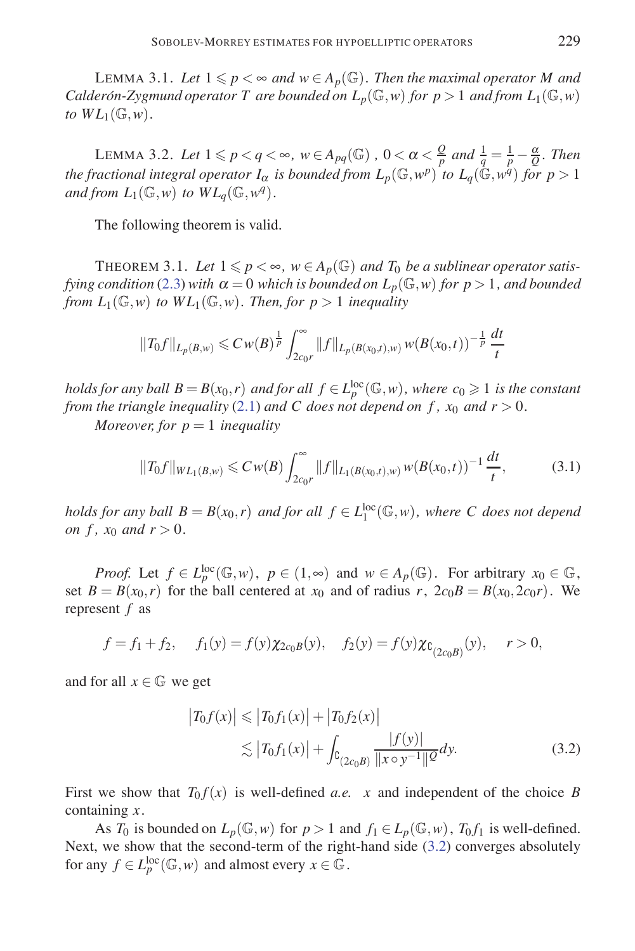LEMMA 3.1. Let  $1 \leq p < \infty$  and  $w \in A_p(\mathbb{G})$ . Then the maximal operator M and *Calderón-Zygmund operator T are bounded on*  $L_p(\mathbb{G}, w)$  *for*  $p > 1$  *and from*  $L_1(\mathbb{G}, w)$ *to*  $WL_1(\mathbb{G}, w)$ .

LEMMA 3.2. Let  $1 \leqslant p < q < \infty$ ,  $w \in A_{pq}(\mathbb{G})$ ,  $0 < \alpha < \frac{Q}{p}$  and  $\frac{1}{q} = \frac{1}{p} - \frac{\alpha}{Q}$ . Then *the fractional integral operator*  $I_\alpha$  *is bounded from*  $L_p(\mathbb{G},w^p)$  *to*  $L_q(\mathbb{G},w^q)$  *for*  $p>1$ *and from*  $L_1(\mathbb{G}, w)$  *to*  $WL_q(\mathbb{G}, w^q)$ .

The following theorem is valid.

THEOREM 3.1. Let  $1 \leq p < \infty$ ,  $w \in A_p(\mathbb{G})$  and  $T_0$  be a sublinear operator satis*fying condition* (2.3) *with*  $\alpha = 0$  *which is bounded on*  $L_p(\mathbb{G}, w)$  *for*  $p > 1$ *, and bounded from*  $L_1(\mathbb{G}, w)$  *to*  $WL_1(\mathbb{G}, w)$ *. Then, for*  $p > 1$  *inequality* 

$$
||T_0f||_{L_p(B,w)} \leq C w(B)^{\frac{1}{p}} \int_{2c_0r}^{\infty} ||f||_{L_p(B(x_0,t),w)} w(B(x_0,t))^{-\frac{1}{p}} \frac{dt}{t}
$$

*holds for any ball*  $B = B(x_0, r)$  *and for all*  $f \in L_p^{\text{loc}}(\mathbb{G}, w)$ *, where*  $c_0 \geqslant 1$  *is the constant from the triangle inequality* (2.1) *and C does not depend on f,*  $x_0$  *and*  $r > 0$ *.* 

*Moreover, for*  $p = 1$  *inequality* 

$$
||T_0f||_{WL_1(B,w)} \leq C w(B) \int_{2c_0r}^{\infty} ||f||_{L_1(B(x_0,t),w)} w(B(x_0,t))^{-1} \frac{dt}{t},
$$
\n(3.1)

*holds for any ball*  $B = B(x_0, r)$  *and for all*  $f \in L_1^{\text{loc}}(\mathbb{G}, w)$ *, where C does not depend on f, x*<sup>0</sup> *and r*  $>$  0*.* 

*Proof.* Let  $f \in L_p^{\text{loc}}(\mathbb{G}, w)$ ,  $p \in (1, \infty)$  and  $w \in A_p(\mathbb{G})$ . For arbitrary  $x_0 \in \mathbb{G}$ , set  $B = B(x_0, r)$  for the ball centered at  $x_0$  and of radius  $r$ ,  $2c_0B = B(x_0, 2c_0r)$ . We represent *f* as

$$
f = f_1 + f_2
$$
,  $f_1(y) = f(y) \chi_{2c_0} g(y)$ ,  $f_2(y) = f(y) \chi_{C_{(2c_0B)}}(y)$ ,  $r > 0$ ,

and for all  $x \in \mathbb{G}$  we get

$$
\left|T_0 f(x)\right| \leq \left|T_0 f_1(x)\right| + \left|T_0 f_2(x)\right|
$$
  
 
$$
\lesssim \left|T_0 f_1(x)\right| + \int_{C_{(2c_0 B)}} \frac{|f(y)|}{\|x \circ y^{-1}\| \mathcal{Q}} dy.
$$
 (3.2)

First we show that  $T_0 f(x)$  is well-defined *a.e.* x and independent of the choice *B* containing *x*.

As  $T_0$  is bounded on  $L_p(\mathbb{G}, w)$  for  $p > 1$  and  $f_1 \in L_p(\mathbb{G}, w)$ ,  $T_0 f_1$  is well-defined. Next, we show that the second-term of the right-hand side (3.2) converges absolutely for any  $f \in L_p^{\text{loc}}(\mathbb{G}, w)$  and almost every  $x \in \mathbb{G}$ .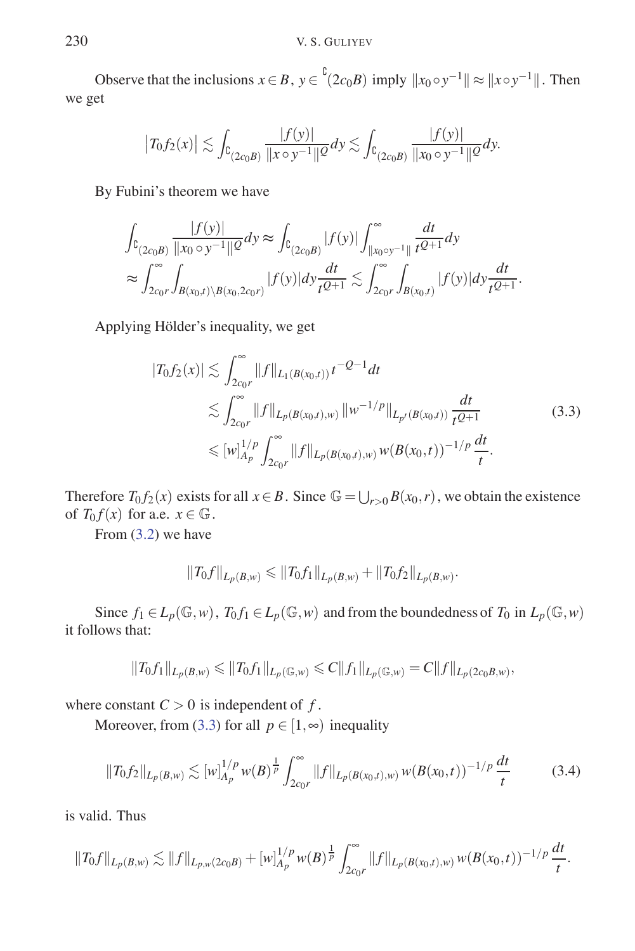Observe that the inclusions  $x \in B$ ,  $y \in {}^{b}(2c_{0}B)$  imply  $||x_{0} \circ y^{-1}|| \approx ||x \circ y^{-1}||$ . Then we get

$$
|T_0 f_2(x)| \lesssim \int_{C_{(2c_0B)}} \frac{|f(y)|}{\|x \circ y^{-1}\|^{\mathcal{Q}}} dy \lesssim \int_{C_{(2c_0B)}} \frac{|f(y)|}{\|x_0 \circ y^{-1}\|^{\mathcal{Q}}} dy.
$$

By Fubini's theorem we have

$$
\int_{\mathbb{C}_{(2c_0B)}} \frac{|f(y)|}{\|x_0 \circ y^{-1}\|^2} dy \approx \int_{\mathbb{C}_{(2c_0B)}} |f(y)| \int_{\|x_0 \circ y^{-1}\|}^{\infty} \frac{dt}{t^{Q+1}} dy
$$
\n
$$
\approx \int_{2c_0r}^{\infty} \int_{B(x_0,t) \setminus B(x_0,2c_0r)} |f(y)| dy \frac{dt}{t^{Q+1}} \lesssim \int_{2c_0r}^{\infty} \int_{B(x_0,t)} |f(y)| dy \frac{dt}{t^{Q+1}}.
$$

Applying Hölder's inequality, we get

$$
|T_0 f_2(x)| \lesssim \int_{2c_0 r}^{\infty} ||f||_{L_1(B(x_0,t))} t^{-Q-1} dt
$$
  
\n
$$
\lesssim \int_{2c_0 r}^{\infty} ||f||_{L_p(B(x_0,t),w)} ||w^{-1/p}||_{L_{p'}(B(x_0,t))} \frac{dt}{t^{Q+1}}
$$
  
\n
$$
\leq [w]_{A_p}^{1/p} \int_{2c_0 r}^{\infty} ||f||_{L_p(B(x_0,t),w)} w(B(x_0,t))^{-1/p} \frac{dt}{t}.
$$
\n(3.3)

Therefore  $T_0 f_2(x)$  exists for all  $x \in B$ . Since  $\mathbb{G} = \bigcup_{r>0} B(x_0, r)$ , we obtain the existence of  $T_0 f(x)$  for a.e.  $x \in \mathbb{G}$ .

From (3.2) we have

$$
||T_0f||_{L_p(B,w)} \le ||T_0f_1||_{L_p(B,w)} + ||T_0f_2||_{L_p(B,w)}.
$$

Since  $f_1 \in L_p(\mathbb{G}, w)$ ,  $T_0 f_1 \in L_p(\mathbb{G}, w)$  and from the boundedness of  $T_0$  in  $L_p(\mathbb{G}, w)$ it follows that:

$$
||T_0f_1||_{L_p(B,w)} \le ||T_0f_1||_{L_p(\mathbb{G},w)} \le C||f_1||_{L_p(\mathbb{G},w)} = C||f||_{L_p(2c_0B,w)},
$$

where constant  $C > 0$  is independent of f.

Moreover, from (3.3) for all  $p \in [1, \infty)$  inequality

$$
||T_0 f_2||_{L_p(B,w)} \lesssim [w]_{A_p}^{1/p} w(B)^{\frac{1}{p}} \int_{2c_0 r}^{\infty} ||f||_{L_p(B(x_0,t),w)} w(B(x_0,t))^{-1/p} \frac{dt}{t}
$$
(3.4)

is valid. Thus

$$
||T_0 f||_{L_p(B,w)} \lesssim ||f||_{L_{p,w}(2c_0B)} + [w]_{A_p}^{1/p} w(B)^{\frac{1}{p}} \int_{2c_0r}^{\infty} ||f||_{L_p(B(x_0,t),w)} w(B(x_0,t))^{-1/p} \frac{dt}{t}.
$$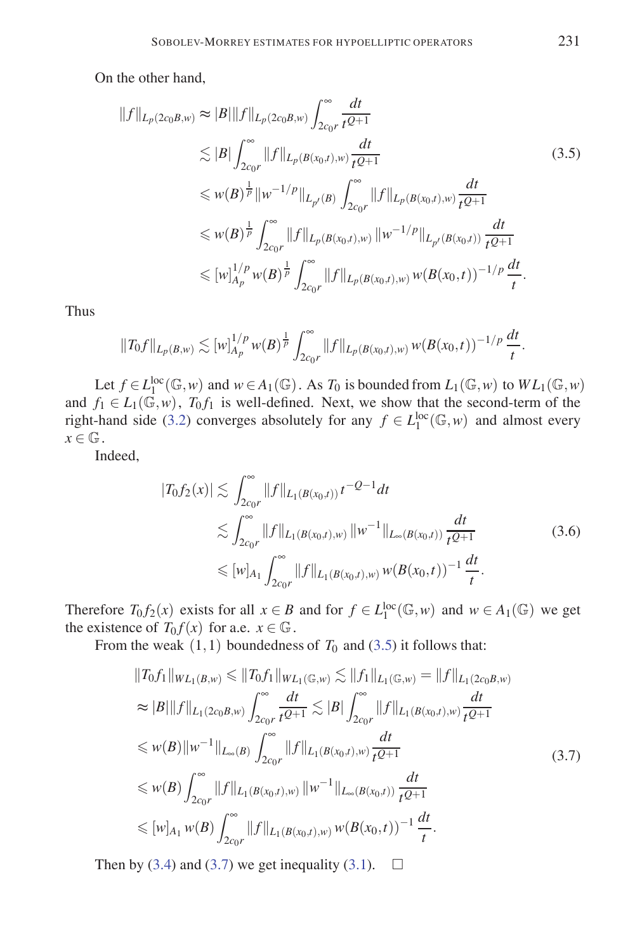On the other hand,

$$
||f||_{L_p(2c_0B,w)} \approx |B|||f||_{L_p(2c_0B,w)} \int_{2c_0r}^{\infty} \frac{dt}{t^{Q+1}}
$$
  
\n
$$
\lesssim |B| \int_{2c_0r}^{\infty} ||f||_{L_p(B(x_0,t),w)} \frac{dt}{t^{Q+1}}
$$
  
\n
$$
\leq w(B)^{\frac{1}{p}} ||w^{-1/p}||_{L_{p'}(B)} \int_{2c_0r}^{\infty} ||f||_{L_p(B(x_0,t),w)} \frac{dt}{t^{Q+1}}
$$
  
\n
$$
\leq w(B)^{\frac{1}{p}} \int_{2c_0r}^{\infty} ||f||_{L_p(B(x_0,t),w)} ||w^{-1/p}||_{L_{p'}(B(x_0,t))} \frac{dt}{t^{Q+1}}
$$
  
\n
$$
\leq [w]_{A_p}^{1/p} w(B)^{\frac{1}{p}} \int_{2c_0r}^{\infty} ||f||_{L_p(B(x_0,t),w)} w(B(x_0,t))^{-1/p} \frac{dt}{t}.
$$

Thus

$$
||T_0f||_{L_p(B,w)} \lesssim [w]_{A_p}^{1/p} w(B)^{\frac{1}{p}} \int_{2c_0r}^{\infty} ||f||_{L_p(B(x_0,t),w)} w(B(x_0,t))^{-1/p} \frac{dt}{t}.
$$

Let  $f \in L_1^{\text{loc}}(\mathbb{G}, w)$  and  $w \in A_1(\mathbb{G})$ . As  $T_0$  is bounded from  $L_1(\mathbb{G}, w)$  to  $WL_1(\mathbb{G}, w)$ and  $f_1 \in L_1(\mathbb{G}, w)$ ,  $T_0 f_1$  is well-defined. Next, we show that the second-term of the right-hand side (3.2) converges absolutely for any  $f \in L_1^{\text{loc}}(\mathbb{G}, w)$  and almost every  $x \in \mathbb{G}$ .

Indeed,

$$
|T_0 f_2(x)| \lesssim \int_{2c_0 r}^{\infty} ||f||_{L_1(B(x_0,t))} t^{-Q-1} dt
$$
  
\n
$$
\lesssim \int_{2c_0 r}^{\infty} ||f||_{L_1(B(x_0,t),w)} ||w^{-1}||_{L_{\infty}(B(x_0,t))} \frac{dt}{t^{Q+1}}
$$
  
\n
$$
\leq [w]_{A_1} \int_{2c_0 r}^{\infty} ||f||_{L_1(B(x_0,t),w)} w(B(x_0,t))^{-1} \frac{dt}{t}.
$$
\n(3.6)

Therefore  $T_0 f_2(x)$  exists for all  $x \in B$  and for  $f \in L_1^{\text{loc}}(\mathbb{G}, w)$  and  $w \in A_1(\mathbb{G})$  we get the existence of  $T_0 f(x)$  for a.e.  $x \in \mathbb{G}$ .

From the weak  $(1,1)$  boundedness of  $T_0$  and  $(3.5)$  it follows that:

$$
||T_0f_1||_{WL_1(B,w)} \le ||T_0f_1||_{WL_1(\mathbb{G},w)} \lesssim ||f_1||_{L_1(\mathbb{G},w)} = ||f||_{L_1(2c_0B,w)}
$$
  
\n
$$
\approx |B|||f||_{L_1(2c_0B,w)} \int_{2c_0r}^{\infty} \frac{dt}{t^{Q+1}} \lesssim |B| \int_{2c_0r}^{\infty} ||f||_{L_1(B(x_0,t),w)} \frac{dt}{t^{Q+1}}
$$
  
\n
$$
\le w(B)||w^{-1}||_{L_{\infty}(B)} \int_{2c_0r}^{\infty} ||f||_{L_1(B(x_0,t),w)} \frac{dt}{t^{Q+1}}
$$
  
\n
$$
\le w(B) \int_{2c_0r}^{\infty} ||f||_{L_1(B(x_0,t),w)} ||w^{-1}||_{L_{\infty}(B(x_0,t))} \frac{dt}{t^{Q+1}}
$$
  
\n
$$
\le [w]_{A_1} w(B) \int_{2c_0r}^{\infty} ||f||_{L_1(B(x_0,t),w)} w(B(x_0,t))^{-1} \frac{dt}{t}.
$$
 (3.7)

Then by (3.4) and (3.7) we get inequality (3.1).  $\Box$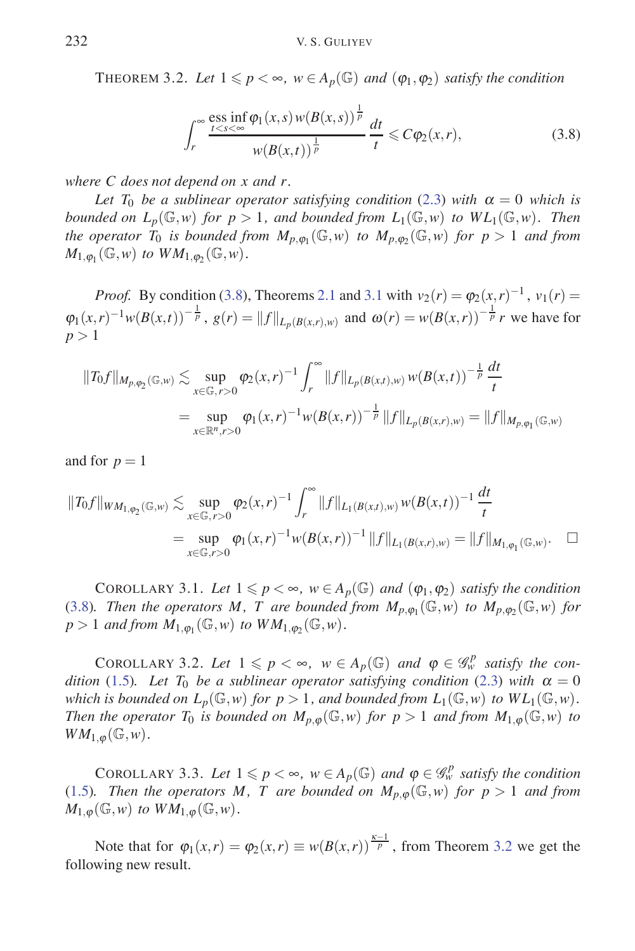THEOREM 3.2. Let  $1 \leq p < \infty$ ,  $w \in A_p(\mathbb{G})$  and  $(\varphi_1, \varphi_2)$  *satisfy the condition* 

$$
\int_{r}^{\infty} \frac{\text{ess inf } \varphi_1(x, s) w(B(x, s))}{\frac{t < s}{\sqrt{t}} \cdot \frac{dt}{t}} \leq C \varphi_2(x, r),\tag{3.8}
$$

*where C does not depend on x and r.*

*Let*  $T_0$  *be a sublinear operator satisfying condition* (2.3) *with*  $\alpha = 0$  *which is bounded on*  $L_p(\mathbb{G},w)$  *for*  $p>1$ *, and bounded from*  $L_1(\mathbb{G},w)$  *to*  $WL_1(\mathbb{G},w)$ *. Then the operator*  $T_0$  *is bounded from*  $M_{p,\varphi_1}(\mathbb{G},w)$  *to*  $M_{p,\varphi_2}(\mathbb{G},w)$  *for*  $p>1$  *and from*  $M_{1,\varphi_1}(\mathbb{G},w)$  *to*  $WM_{1,\varphi_2}(\mathbb{G},w)$ .

*Proof.* By condition (3.8), Theorems 2.1 and 3.1 with  $v_2(r) = \varphi_2(x, r)^{-1}$ ,  $v_1(r) =$  $\varphi_1(x,r)^{-1} w(B(x,t))^{-\frac{1}{p}}$ ,  $g(r) = ||f||_{L_p(B(x,r),w)}$  and  $\omega(r) = w(B(x,r))^{-\frac{1}{p}} r$  we have for  $p > 1$ 

$$
||T_0 f||_{M_{p,\varphi_2}(\mathbb{G},w)} \lesssim \sup_{x \in \mathbb{G}, r > 0} \varphi_2(x,r)^{-1} \int_r^{\infty} ||f||_{L_p(B(x,t),w)} w(B(x,t))^{-\frac{1}{p}} \frac{dt}{t}
$$
  
= 
$$
\sup_{x \in \mathbb{R}^n, r > 0} \varphi_1(x,r)^{-1} w(B(x,r))^{-\frac{1}{p}} ||f||_{L_p(B(x,r),w)} = ||f||_{M_{p,\varphi_1}(\mathbb{G},w)}
$$

and for  $p = 1$ 

$$
||T_0 f||_{WM_{1,\varphi_2}(\mathbb{G},w)} \lesssim \sup_{x \in \mathbb{G}, r>0} \varphi_2(x,r)^{-1} \int_r^{\infty} ||f||_{L_1(B(x,r),w)} w(B(x,t))^{-1} \frac{dt}{t}
$$
  
= 
$$
\sup_{x \in \mathbb{G}, r>0} \varphi_1(x,r)^{-1} w(B(x,r))^{-1} ||f||_{L_1(B(x,r),w)} = ||f||_{M_{1,\varphi_1}(\mathbb{G},w)}.
$$

COROLLARY 3.1. Let  $1 \leq p < \infty$ ,  $w \in A_p(\mathbb{G})$  and  $(\varphi_1, \varphi_2)$  *satisfy the condition* (3.8)*. Then the operators M, T are bounded from*  $M_{p,\varphi_1}(\mathbb{G},w)$  *to*  $M_{p,\varphi_2}(\mathbb{G},w)$  *for*  $p > 1$  *and from*  $M_{1,\varphi_1}(\mathbb{G},w)$  *to*  $WM_{1,\varphi_2}(\mathbb{G},w)$ .

COROLLARY 3.2. Let  $1 \leq p \leq \infty$ ,  $w \in A_p(\mathbb{G})$  and  $\varphi \in \mathcal{G}_w^p$  satisfy the con*dition* (1.5). Let  $T_0$  *be a sublinear operator satisfying condition* (2.3) *with*  $\alpha = 0$ *which is bounded on*  $L_p(\mathbb{G}, w)$  *for*  $p > 1$ *, and bounded from*  $L_1(\mathbb{G}, w)$  *to*  $WL_1(\mathbb{G}, w)$ *. Then the operator*  $T_0$  *is bounded on*  $M_{p,\varphi}(\mathbb{G},w)$  *for*  $p>1$  *and from*  $M_{1,\varphi}(\mathbb{G},w)$  *to*  $WM_{1,\varphi}(\mathbb{G},w)$ .

COROLLARY 3.3. Let  $1 \leq p < \infty$ ,  $w \in A_p(\mathbb{G})$  and  $\varphi \in \mathscr{G}_w^p$  satisfy the condition (1.5)*.* Then the operators M, T are bounded on  $M_{p,\omega}(\mathbb{G},w)$  for  $p>1$  and from  $M_{1,\varphi}(\mathbb{G},w)$  *to*  $WM_{1,\varphi}(\mathbb{G},w)$ .

Note that for  $\varphi_1(x,r) = \varphi_2(x,r) \equiv w(B(x,r))^{\frac{\kappa-1}{p}}$ , from Theorem 3.2 we get the following new result.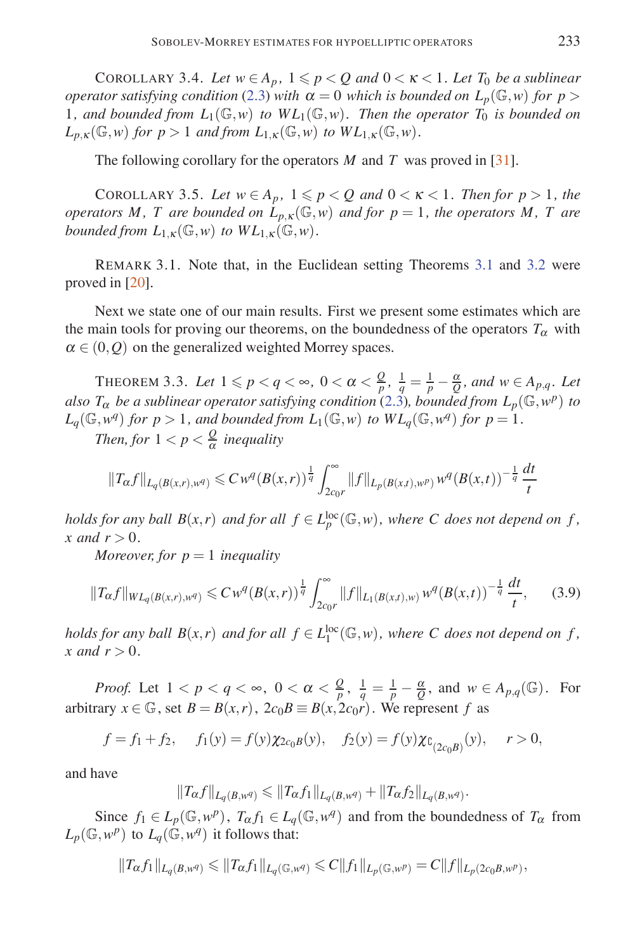COROLLARY 3.4. Let  $w \in A_p$ ,  $1 \leqslant p < Q$  and  $0 < \kappa < 1$ . Let  $T_0$  be a sublinear *operator satisfying condition* (2.3) *with*  $\alpha = 0$  *which is bounded on*  $L_p(\mathbb{G}, w)$  *for*  $p >$ 1, and bounded from  $L_1(\mathbb{G}, w)$  to  $WL_1(\mathbb{G}, w)$ . Then the operator  $T_0$  is bounded on  $L_{p,K}(\mathbb{G},w)$  *for*  $p>1$  *and from*  $L_{1,K}(\mathbb{G},w)$  *to*  $WL_{1,K}(\mathbb{G},w)$ *.* 

The following corollary for the operators *M* and *T* was proved in [31].

COROLLARY 3.5. Let  $w \in A_p$ ,  $1 \leqslant p < Q$  and  $0 < \kappa < 1$ . Then for  $p > 1$ , the *operators M, T are bounded on*  $L_{p,K}(\mathbb{G},w)$  *and for*  $p=1$ *, the operators M, T are bounded from*  $L_{1,K}(\mathbb{G},w)$  *to*  $WL_{1,K}(\mathbb{G},w)$ *.* 

REMARK 3.1. Note that, in the Euclidean setting Theorems 3.1 and 3.2 were proved in [20].

Next we state one of our main results. First we present some estimates which are the main tools for proving our theorems, on the boundedness of the operators  $T_\alpha$  with  $\alpha \in (0, 0)$  on the generalized weighted Morrey spaces.

THEOREM 3.3. Let  $1 \leqslant p < q < \infty$ ,  $0 < \alpha < \frac{Q}{p}$ ,  $\frac{1}{q} = \frac{1}{p} - \frac{\alpha}{Q}$ , and  $w \in A_{p,q}$ . Let *also*  $T_{\alpha}$  *be a sublinear operator satisfying condition* (2.3)*, bounded from*  $L_p(\mathbb{G}, w^p)$  *to*  $L_q(\mathbb{G}, w^q)$  *for*  $p > 1$ *, and bounded from*  $L_1(\mathbb{G}, w)$  *to*  $WL_q(\mathbb{G}, w^q)$  *for*  $p = 1$ *.* 

*Then, for*  $1 < p < \frac{Q}{\alpha}$  *inequality* 

$$
||T_{\alpha}f||_{L_q(B(x,r),w^q)} \leq C w^q (B(x,r))^{\frac{1}{q}} \int_{2c_0r}^{\infty} ||f||_{L_p(B(x,t),w^p)} w^q (B(x,t))^{-\frac{1}{q}} \frac{dt}{t}
$$

*holds for any ball*  $B(x,r)$  *and for all*  $f \in L_p^{\text{loc}}(\mathbb{G},w)$ , where C does not depend on f, *x* and  $r > 0$ .

*Moreover, for*  $p = 1$  *inequality* 

$$
||T_{\alpha}f||_{WL_{q}(B(x,r),w^{q})} \leq C w^{q}(B(x,r))^{\frac{1}{q}} \int_{2c_{0}r}^{\infty} ||f||_{L_{1}(B(x,r),w)} w^{q}(B(x,r))^{-\frac{1}{q}} \frac{dt}{t}, \qquad (3.9)
$$

*holds for any ball*  $B(x,r)$  *and for all*  $f \in L_1^{\text{loc}}(\mathbb{G},w)$ *, where C does not depend on f, x* and  $r > 0$ .

*Proof.* Let  $1 < p < q < \infty$ ,  $0 < \alpha < \frac{Q}{p}$ ,  $\frac{1}{q} = \frac{1}{p} - \frac{\alpha}{Q}$ , and  $w \in A_{p,q}(\mathbb{G})$ . For arbitrary  $x \in \mathbb{G}$ , set  $B = B(x, r)$ ,  $2c_0B \equiv B(x, 2c_0r)$ . We represent *f* as

$$
f = f_1 + f_2
$$
,  $f_1(y) = f(y)\chi_{2c_0B}(y)$ ,  $f_2(y) = f(y)\chi_{C_{(2c_0B)}}(y)$ ,  $r > 0$ ,

and have

$$
||T_{\alpha}f||_{L_q(B,w^q)} \leq ||T_{\alpha}f_1||_{L_q(B,w^q)} + ||T_{\alpha}f_2||_{L_q(B,w^q)}.
$$

Since  $f_1 \in L_p(\mathbb{G}, w^p)$ ,  $T_\alpha f_1 \in L_q(\mathbb{G}, w^q)$  and from the boundedness of  $T_\alpha$  from  $L_p(\mathbb{G}, w^p)$  to  $L_q(\mathbb{G}, w^q)$  it follows that:

$$
||T_{\alpha}f_1||_{L_q(B, w^q)} \leq ||T_{\alpha}f_1||_{L_q(\mathbb{G}, w^q)} \leq C||f_1||_{L_p(\mathbb{G}, w^p)} = C||f||_{L_p(2c_0B, w^p)},
$$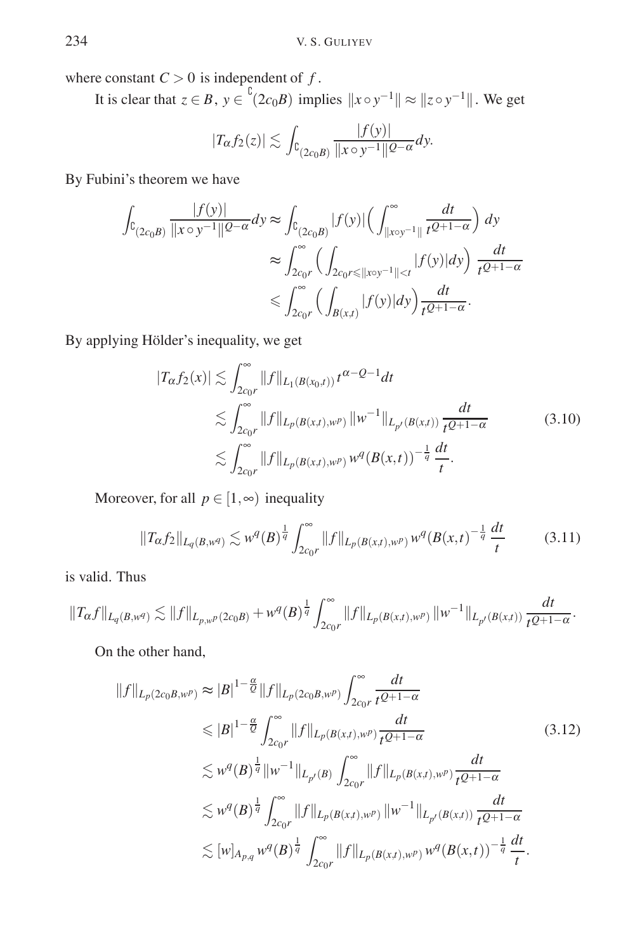where constant  $C > 0$  is independent of  $f$ .

It is clear that  $z \in B$ ,  $y \in {}^{b}(2c_{0}B)$  implies  $||x \circ y^{-1}|| \approx ||z \circ y^{-1}||$ . We get

$$
|T_{\alpha}f_2(z)| \lesssim \int_{\complement(2c_0B)} \frac{|f(y)|}{\|x \circ y^{-1}\|^{2-\alpha}} dy.
$$

By Fubini's theorem we have

$$
\int_{\mathbb{C}_{(2c_0B)}} \frac{|f(y)|}{\|x \circ y^{-1}\|^{2-\alpha}} dy \approx \int_{\mathbb{C}_{(2c_0B)}} |f(y)| \left(\int_{\|x \circ y^{-1}\|}^{\infty} \frac{dt}{t^{2+1-\alpha}}\right) dy
$$

$$
\approx \int_{2c_0r}^{\infty} \left(\int_{2c_0r \le \|x \circ y^{-1}\| < t} |f(y)| dy\right) \frac{dt}{t^{2+1-\alpha}}
$$

$$
\le \int_{2c_0r}^{\infty} \left(\int_{B(x,t)} |f(y)| dy\right) \frac{dt}{t^{2+1-\alpha}}.
$$

By applying Hölder's inequality, we get

$$
|T_{\alpha}f_2(x)| \lesssim \int_{2c_0r}^{\infty} ||f||_{L_1(B(x_0,t))} t^{\alpha-\mathcal{Q}-1} dt
$$
  
\n
$$
\lesssim \int_{2c_0r}^{\infty} ||f||_{L_p(B(x,t),w^p)} ||w^{-1}||_{L_{p'}(B(x,t))} \frac{dt}{t^{\mathcal{Q}+1-\alpha}}
$$
(3.10)  
\n
$$
\lesssim \int_{2c_0r}^{\infty} ||f||_{L_p(B(x,t),w^p)} w^q(B(x,t))^{-\frac{1}{q}} \frac{dt}{t}.
$$

Moreover, for all  $p \in [1, \infty)$  inequality

$$
||T_{\alpha}f_2||_{L_q(B,w^q)} \lesssim w^q(B)^{\frac{1}{q}} \int_{2c_0r}^{\infty} ||f||_{L_p(B(x,t),w^p)} w^q(B(x,t)^{-\frac{1}{q}} \frac{dt}{t}
$$
(3.11)

is valid. Thus

$$
\|T_{\alpha}f\|_{L_q(B,w^q)} \lesssim \|f\|_{L_{p,w^p}(2c_0B)} + w^q(B)^{\frac{1}{q}} \int_{2c_0r}^{\infty} \|f\|_{L_p(B(x,t),w^p)} \, \|w^{-1}\|_{L_{p'}(B(x,t))} \, \frac{dt}{t^{Q+1-\alpha}}.
$$

On the other hand,

$$
||f||_{L_p(2c_0B,w^p)} \approx |B|^{1-\frac{\alpha}{Q}} ||f||_{L_p(2c_0B,w^p)} \int_{2c_0r}^{\infty} \frac{dt}{t^{Q+1-\alpha}}
$$
  
\n
$$
\leq |B|^{1-\frac{\alpha}{Q}} \int_{2c_0r}^{\infty} ||f||_{L_p(B(x,t),w^p)} \frac{dt}{t^{Q+1-\alpha}}
$$
  
\n
$$
\lesssim w^q(B)^{\frac{1}{q}} ||w^{-1}||_{L_{p'}(B)} \int_{2c_0r}^{\infty} ||f||_{L_p(B(x,t),w^p)} \frac{dt}{t^{Q+1-\alpha}}
$$
  
\n
$$
\lesssim w^q(B)^{\frac{1}{q}} \int_{2c_0r}^{\infty} ||f||_{L_p(B(x,t),w^p)} ||w^{-1}||_{L_{p'}(B(x,t))} \frac{dt}{t^{Q+1-\alpha}}
$$
  
\n
$$
\lesssim [w]_{A_{p,q}} w^q(B)^{\frac{1}{q}} \int_{2c_0r}^{\infty} ||f||_{L_p(B(x,t),w^p)} w^q(B(x,t))^{-\frac{1}{q}} \frac{dt}{t}.
$$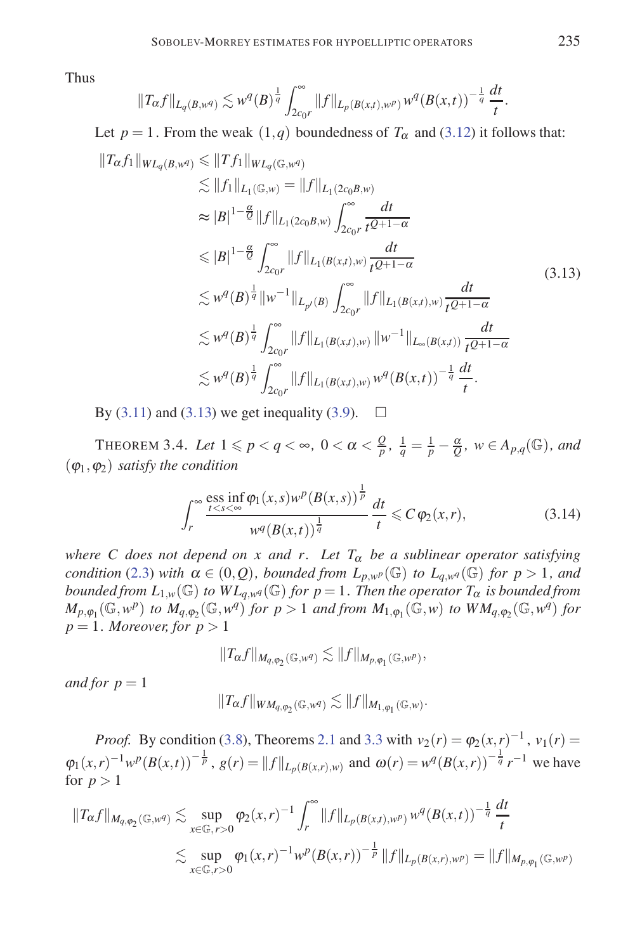Thus

$$
||T_{\alpha}f||_{L_q(B,w^q)} \lesssim w^q(B)^{\frac{1}{q}} \int_{2c_0 r}^{\infty} ||f||_{L_p(B(x,t),w^p)} w^q(B(x,t))^{-\frac{1}{q}} \frac{dt}{t}.
$$

Let  $p = 1$ . From the weak  $(1,q)$  boundedness of  $T_\alpha$  and  $(3.12)$  it follows that:  $||T_{\alpha} f_1||_{WL_q(B,w^q)} \leq ||T f_1||_{WL_q(\mathbb{G},w^q)}$  $\lesssim$   $||f_1||_{L_1(\mathbb{G},w)} = ||f||_{L_1(2c_0B,w)}$  $\approx |B|^{1-\frac{\alpha}{Q}} \|f\|_{L_1(2c_0B,w)} \int_{2a}^{\infty}$ 2*c*0*r dt tQ*+1−<sup>α</sup>  $\leqslant |B|^{1-\frac{\alpha}{Q}} \int_{a}^{\infty}$  $\int_{2c_0r}^{\infty} ||f||_{L_1(B(x,t),w)} \frac{dt}{t^{Q+1}}$ *tQ*+1−<sup>α</sup>  $\lesssim w^q(B)^{\frac{1}{q}} \|w^{-1}\|_{L_{p'}(B)} \int_{\Omega}^{\infty}$  $\int_{2c_0r}^{\infty} ||f||_{L_1(B(x,t),w)} \frac{dt}{t^{Q+1}}$ *tQ*+1−<sup>α</sup>  $\lesssim w^q(B)^{\frac{1}{q}}$  $\int_{2c_0r}^{\infty} ||f||_{L_1(B(x,t),w)} ||w^{-1}||_{L_{\infty}(B(x,t))} \frac{dt}{t^{Q+1}}$ *tQ*+1−<sup>α</sup>  $\lesssim w^q(B)^{\frac{1}{q}}$  $\int_{2c_0r}^{\infty} ||f||_{L_1(B(x,t),w)} w^q(B(x,t))^{-\frac{1}{q}} \frac{dt}{t}.$ (3.13)

By  $(3.11)$  and  $(3.13)$  we get inequality  $(3.9)$ .

THEOREM 3.4. Let  $1 \leqslant p < q < \infty$ ,  $0 < \alpha < \frac{Q}{p}$ ,  $\frac{1}{q} = \frac{1}{p} - \frac{\alpha}{Q}$ ,  $w \in A_{p,q}(\mathbb{G})$ , and  $(\varphi_1, \varphi_2)$  *satisfy the condition* 

$$
\int_{r}^{\infty} \frac{\text{ess inf } \varphi_1(x, s) w^p (B(x, s))^{\frac{1}{p}}}{w^q (B(x, t))^{\frac{1}{q}}} \frac{dt}{t} \leqslant C \varphi_2(x, r), \tag{3.14}
$$

*where C does not depend on x and r. Let*  $T_\alpha$  *be a sublinear operator satisfying condition* (2.3) *with*  $\alpha \in (0, Q)$ *, bounded from*  $L_{p,w}(\mathbb{G})$  *to*  $L_{q,w}(\mathbb{G})$  *for*  $p > 1$ *, and bounded from*  $L_{1,w}(\mathbb{G})$  *to*  $WL_{q,w}(\mathbb{G})$  *for*  $p = 1$ *. Then the operator*  $T_{\alpha}$  *is bounded from M*<sub>*p*</sub>, $\varphi_1(\mathbb{G}, w^p)$  *to*  $M_{q, \varphi_2}(\mathbb{G}, w^q)$  *for*  $p > 1$  *and from*  $M_{1, \varphi_1}(\mathbb{G}, w)$  *to*  $WM_{q, \varphi_2}(\mathbb{G}, w^q)$  *for*  $p = 1$ *. Moreover, for*  $p > 1$ 

$$
||T_{\alpha}f||_{M_{q,\varphi_2}(\mathbb{G},w^q)} \lesssim ||f||_{M_{p,\varphi_1}(\mathbb{G},w^p)},
$$

*and for*  $p = 1$ 

$$
||T_{\alpha}f||_{WM_{q,\varphi_2}(\mathbb{G},w^q)} \lesssim ||f||_{M_{1,\varphi_1}(\mathbb{G},w)}.
$$

*Proof.* By condition (3.8), Theorems 2.1 and 3.3 with  $v_2(r) = \varphi_2(x, r)^{-1}$ ,  $v_1(r) =$  $\varphi_1(x,r)^{-1}w^p(B(x,t))^{-\frac{1}{p}}, g(r) = ||f||_{L_p(B(x,r),w)}$  and  $\omega(r) = w^q(B(x,r))^{-\frac{1}{q}}r^{-1}$  we have for  $p > 1$ 

$$
||T_{\alpha}f||_{M_{q,\varphi_2}(\mathbb{G},w^q)} \lesssim \sup_{x \in \mathbb{G}, r>0} \varphi_2(x,r)^{-1} \int_r^{\infty} ||f||_{L_p(B(x,t),w^p)} w^q (B(x,t))^{-\frac{1}{q}} \frac{dt}{t}
$$
  

$$
\lesssim \sup_{x \in \mathbb{G}, r>0} \varphi_1(x,r)^{-1} w^p (B(x,r))^{-\frac{1}{p}} ||f||_{L_p(B(x,r),w^p)} = ||f||_{M_{p,\varphi_1}(\mathbb{G},w^p)}
$$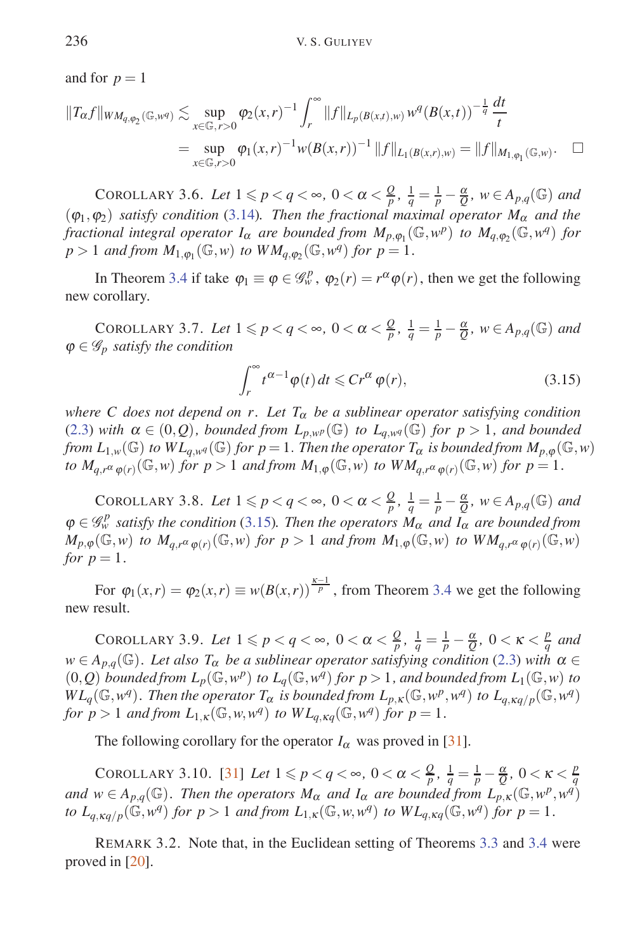and for  $p = 1$ 

$$
||T_{\alpha}f||_{WM_{q,\varphi_{2}}(\mathbb{G},w^{q})} \lesssim \sup_{x \in \mathbb{G},r>0} \varphi_{2}(x,r)^{-1} \int_{r}^{\infty} ||f||_{L_{p}(B(x,t),w)} w^{q}(B(x,t))^{-\frac{1}{q}} \frac{dt}{t}
$$
  
= 
$$
\sup_{x \in \mathbb{G},r>0} \varphi_{1}(x,r)^{-1} w(B(x,r))^{-1} ||f||_{L_{1}(B(x,r),w)} = ||f||_{M_{1,\varphi_{1}}(\mathbb{G},w)}.
$$

COROLLARY 3.6. Let  $1 \leqslant p < q < \infty$ ,  $0 < \alpha < \frac{Q}{p}$ ,  $\frac{1}{q} = \frac{1}{p} - \frac{\alpha}{Q}$ ,  $w \in A_{p,q}(\mathbb{G})$  and  $(\varphi_1, \varphi_2)$  *satisfy condition* (3.14). Then the fractional maximal operator  $M_\alpha$  and the *fractional integral operator*  $I_\alpha$  *are bounded from*  $M_{p,\varphi_1}(\mathbb{G},w^p)$  *to*  $M_{q,\varphi_2}(\mathbb{G},w^q)$  *for*  $p > 1$  *and from*  $M_{1,\omega_1}(\mathbb{G}, w)$  *to*  $WM_{a,\omega_2}(\mathbb{G}, w^q)$  *for*  $p = 1$ *.* 

In Theorem 3.4 if take  $\varphi_1 \equiv \varphi \in \mathcal{G}_w^p$ ,  $\varphi_2(r) = r^\alpha \varphi(r)$ , then we get the following new corollary.

COROLLARY 3.7. Let  $1 \leqslant p < q < \infty$ ,  $0 < \alpha < \frac{Q}{p}$ ,  $\frac{1}{q} = \frac{1}{p} - \frac{\alpha}{Q}$ ,  $w \in A_{p,q}(\mathbb{G})$  and  $\varphi \in \mathscr{G}_p$  *satisfy the condition* 

$$
\int_{r}^{\infty} t^{\alpha - 1} \varphi(t) dt \leqslant C r^{\alpha} \varphi(r), \tag{3.15}
$$

*where C does not depend on r. Let*  $T_{\alpha}$  *be a sublinear operator satisfying condition* (2.3) *with*  $\alpha \in (0, Q)$ *, bounded from*  $L_{p,w^p}(\mathbb{G})$  *to*  $L_{q,w^q}(\mathbb{G})$  *for*  $p > 1$ *, and bounded from*  $L_{1,w}(\mathbb{G})$  *to*  $WL_{q,w^q}(\mathbb{G})$  *for*  $p = 1$ *. Then the operator*  $T_\alpha$  *is bounded from*  $M_{p,\varphi}(\mathbb{G},w)$ *to*  $M_{a,r}a_{\varphi(r)}(\mathbb{G},w)$  *for*  $p>1$  *and from*  $M_{1,\varphi}(\mathbb{G},w)$  *to*  $WM_{a,r}a_{\varphi(r)}(\mathbb{G},w)$  *for*  $p=1$ *.* 

COROLLARY 3.8. Let  $1 \leqslant p < q < \infty$ ,  $0 < \alpha < \frac{Q}{p}$ ,  $\frac{1}{q} = \frac{1}{p} - \frac{\alpha}{Q}$ ,  $w \in A_{p,q}(\mathbb{G})$  and  $\varphi \in \mathscr{G}_{w}^{p}$  satisfy the condition (3.15). Then the operators  $M_{\alpha}$  and  $\tilde{I}_{\alpha}$  are bounded from  $M_{p,\phi}(\mathbb{G},w)$  to  $M_{q,r^{\alpha}\phi(r)}(\mathbb{G},w)$  for  $p>1$  and from  $M_{1,\phi}(\mathbb{G},w)$  to  $WM_{q,r^{\alpha}\phi(r)}(\mathbb{G},w)$ *for*  $p = 1$ *.* 

For  $\varphi_1(x,r) = \varphi_2(x,r) \equiv w(B(x,r))^{\frac{\kappa-1}{p}}$ , from Theorem 3.4 we get the following new result.

COROLLARY 3.9. Let  $1 \leqslant p < q < \infty$ ,  $0 < \alpha < \frac{Q}{p}$ ,  $\frac{1}{q} = \frac{1}{p} - \frac{\alpha}{Q}$ ,  $0 < \kappa < \frac{p}{q}$  and  $w \in A_{p,q}(\mathbb{G})$ *. Let also*  $T_{\alpha}$  *be a sublinear operator satisfying condition* (2.3) *with*  $\alpha \in$  $(0,Q)$  *bounded from*  $L_p(\mathbb{G},w^p)$  *to*  $L_q(\mathbb{G},w^q)$  *for*  $p>1$ *, and bounded from*  $L_1(\mathbb{G},w)$  *to*  $WL_q(\mathbb{G}, w^q)$ . Then the operator  $T_\alpha$  is bounded from  $L_{p, \kappa}(\mathbb{G}, w^p, w^q)$  to  $L_{q, \kappa q/p}(\mathbb{G}, w^q)$ *for*  $p > 1$  *and from*  $L_{1,\kappa}(\mathbb{G}, w, w^q)$  *to*  $WL_{q,\kappa q}(\mathbb{G}, w^q)$  *for*  $p = 1$ *.* 

The following corollary for the operator  $I_\alpha$  was proved in [31].

COROLLARY 3.10. [31] Let  $1 \leq p < q < \infty$ ,  $0 < \alpha < \frac{Q}{p}$ ,  $\frac{1}{q} = \frac{1}{p} - \frac{\alpha}{Q}$ ,  $0 < \kappa < \frac{p}{q}$ *and*  $w \in A_{p,q}(\mathbb{G})$ *. Then the operators*  $M_{\alpha}$  *and*  $I_{\alpha}$  *are bounded from*  $L_{p,K}(\mathbb{G},w^p,w^q)$ to  $L_{q, \kappa q/p}(\mathbb{G}, w^q)$  for  $p > 1$  and from  $L_{1,\kappa}(\mathbb{G}, w, w^q)$  to  $WL_{q, \kappa q}(\mathbb{G}, w^q)$  for  $p = 1$ .

REMARK 3.2. Note that, in the Euclidean setting of Theorems 3.3 and 3.4 were proved in [20].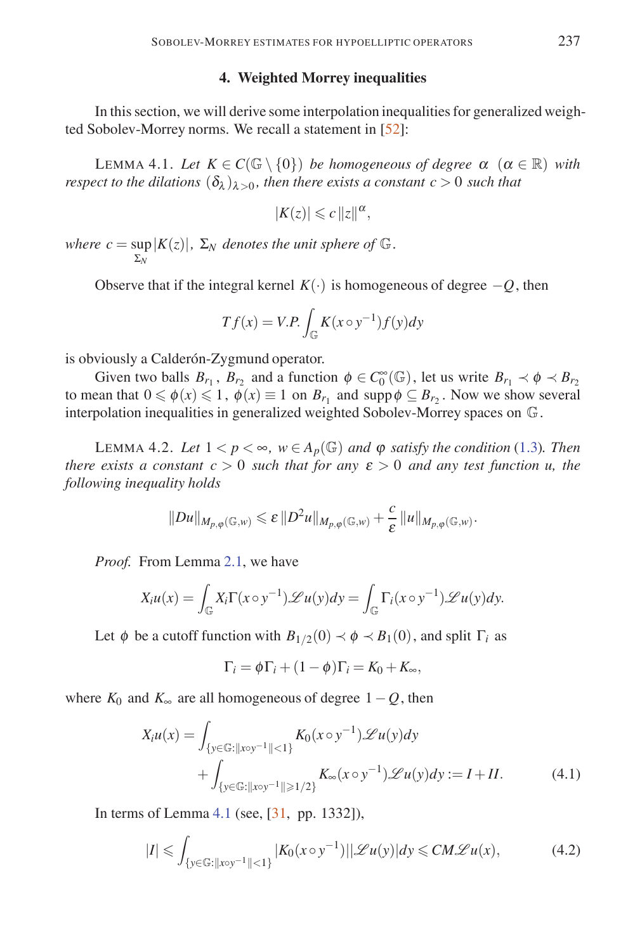## **4. Weighted Morrey inequalities**

In this section, we will derive some interpolation inequalities for generalized weighted Sobolev-Morrey norms. We recall a statement in [52]:

LEMMA 4.1. Let  $K \in C(\mathbb{G} \setminus \{0\})$  *be homogeneous of degree*  $\alpha$   $(\alpha \in \mathbb{R})$  *with respect to the dilations*  $(\delta_{\lambda})_{\lambda>0}$ *, then there exists a constant c* > 0 *such that* 

$$
|K(z)| \leqslant c \|z\|^{\alpha},
$$

 $\mathbf{where} \ \mathbf{c} = \sup |K(z)|, \ \Sigma_N \ \mathbf{denotes} \ \mathbf{the} \ \mathbf{unit} \ \mathbf{sphere} \ \mathbf{of} \ \mathbb{G}.$ Σ*N*

Observe that if the integral kernel  $K(.)$  is homogeneous of degree  $-O$ , then

$$
Tf(x) = V.P. \int_{\mathbb{G}} K(x \circ y^{-1}) f(y) dy
$$

is obviously a Calderón-Zygmund operator.

Given two balls  $B_{r_1}$ ,  $B_{r_2}$  and a function  $\phi \in C_0^{\infty}(\mathbb{G})$ , let us write  $B_{r_1} \prec \phi \prec B_{r_2}$ to mean that  $0 \le \phi(x) \le 1$ ,  $\phi(x) \equiv 1$  on  $B_{r_1}$  and supp $\phi \subseteq B_{r_2}$ . Now we show several interpolation inequalities in generalized weighted Sobolev-Morrey spaces on G.

LEMMA 4.2. Let  $1 < p < \infty$ ,  $w \in A_p(\mathbb{G})$  and  $\varphi$  *satisfy the condition* (1.3). Then *there exists a constant*  $c > 0$  *such that for any*  $\varepsilon > 0$  *and any test function u, the following inequality holds*

$$
||Du||_{M_{p,\varphi}(\mathbb{G},w)} \leqslant \varepsilon ||D^2u||_{M_{p,\varphi}(\mathbb{G},w)} + \frac{c}{\varepsilon} ||u||_{M_{p,\varphi}(\mathbb{G},w)}.
$$

*Proof.* From Lemma 2.1, we have

$$
X_i u(x) = \int_{\mathbb{G}} X_i \Gamma(x \circ y^{-1}) \mathscr{L} u(y) dy = \int_{\mathbb{G}} \Gamma_i(x \circ y^{-1}) \mathscr{L} u(y) dy.
$$

Let  $\phi$  be a cutoff function with  $B_{1/2}(0) \prec \phi \prec B_1(0)$ , and split  $\Gamma_i$  as

$$
\Gamma_i = \phi \Gamma_i + (1 - \phi) \Gamma_i = K_0 + K_\infty,
$$

where  $K_0$  and  $K_{\infty}$  are all homogeneous of degree 1 − *Q*, then

$$
X_i u(x) = \int_{\{y \in \mathbb{G} : ||x \circ y^{-1}|| < 1\}} K_0(x \circ y^{-1}) \mathcal{L} u(y) dy
$$
  
+ 
$$
\int_{\{y \in \mathbb{G} : ||x \circ y^{-1}|| \ge 1/2\}} K_{\infty}(x \circ y^{-1}) \mathcal{L} u(y) dy := I + II.
$$
 (4.1)

In terms of Lemma 4.1 (see, [31, pp. 1332]),

$$
|I| \leqslant \int_{\{y \in \mathbb{G} : \|x \circ y^{-1}\| < 1\}} |K_0(x \circ y^{-1})| |\mathcal{L}u(y)| dy \leqslant CM\mathcal{L}u(x),\tag{4.2}
$$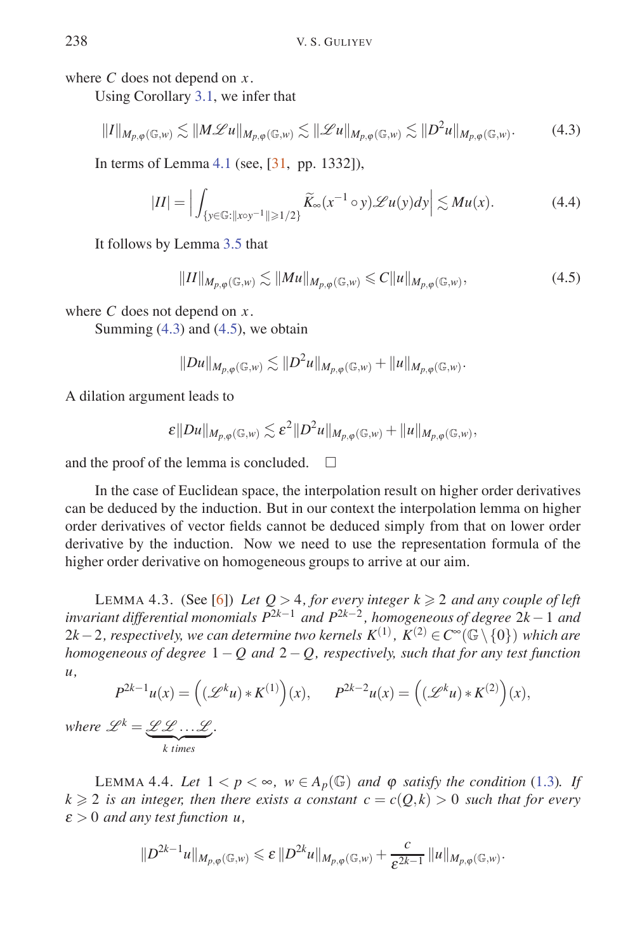where *C* does not depend on *x*.

Using Corollary 3.1, we infer that

$$
||I||_{M_{p,\varphi}(\mathbb{G},w)} \lesssim ||M\mathscr{L}u||_{M_{p,\varphi}(\mathbb{G},w)} \lesssim ||\mathscr{L}u||_{M_{p,\varphi}(\mathbb{G},w)} \lesssim ||D^2u||_{M_{p,\varphi}(\mathbb{G},w)}.
$$
 (4.3)

In terms of Lemma 4.1 (see, [31, pp. 1332]),

$$
|II| = \Big| \int_{\{y \in \mathbb{G} : \|x \circ y^{-1}\| \geqslant 1/2\}} \widetilde{K}_{\infty}(x^{-1} \circ y) \mathscr{L}u(y) dy \Big| \lesssim Mu(x). \tag{4.4}
$$

It follows by Lemma 3.5 that

$$
||II||_{M_{p,\varphi}(\mathbb{G},w)} \lesssim ||Mu||_{M_{p,\varphi}(\mathbb{G},w)} \leq C||u||_{M_{p,\varphi}(\mathbb{G},w)},
$$
\n(4.5)

where *C* does not depend on *x*.

Summing  $(4.3)$  and  $(4.5)$ , we obtain

$$
||Du||_{M_{p,\varphi}(\mathbb{G},w)} \lesssim ||D^2u||_{M_{p,\varphi}(\mathbb{G},w)} + ||u||_{M_{p,\varphi}(\mathbb{G},w)}.
$$

A dilation argument leads to

$$
\varepsilon ||Du||_{M_{p,\varphi}(\mathbb{G},w)} \lesssim \varepsilon^2 ||D^2u||_{M_{p,\varphi}(\mathbb{G},w)} + ||u||_{M_{p,\varphi}(\mathbb{G},w)},
$$

and the proof of the lemma is concluded.  $\square$ 

In the case of Euclidean space, the interpolation result on higher order derivatives can be deduced by the induction. But in our context the interpolation lemma on higher order derivatives of vector fields cannot be deduced simply from that on lower order derivative by the induction. Now we need to use the representation formula of the higher order derivative on homogeneous groups to arrive at our aim.

LEMMA 4.3. (See [6]) *Let*  $Q > 4$ *, for every integer*  $k \geq 2$  *and any couple of left invariant differential monomials P*2*k*−<sup>1</sup> *and P*2*k*−<sup>2</sup> *, homogeneous of degree* 2*k*−1 *and* 2*k*−2*, respectively, we can determine two kernels*  $K^{(1)}$ *,*  $K^{(2)} \in C^{\infty}(\mathbb{G} \setminus \{0\})$  *<i>which are homogeneous of degree* 1 − *Q and* 2 − *Q, respectively, such that for any test function u,*

$$
P^{2k-1}u(x) = ((\mathscr{L}^k u) * K^{(1)})(x), \qquad P^{2k-2}u(x) = ((\mathscr{L}^k u) * K^{(2)})(x),
$$
  

$$
\mathscr{L}^k = \mathscr{L} \mathscr{L} \dots \mathscr{L}.
$$

 $\mathscr{L}^k = \underbrace{\mathscr{L}\mathscr{L} \dots \mathscr{L}}_{k \text{ times}}$ 

LEMMA 4.4. Let  $1 < p < \infty$ ,  $w \in A_p(\mathbb{G})$  and  $\varphi$  *satisfy the condition* (1.3). If  $k \geq 2$  *is an integer, then there exists a constant*  $c = c(O,k) > 0$  *such that for every*  $\varepsilon > 0$  *and any test function u,* 

$$
||D^{2k-1}u||_{M_{p,\varphi}(\mathbb{G},w)} \leqslant \varepsilon ||D^{2k}u||_{M_{p,\varphi}(\mathbb{G},w)} + \frac{c}{\varepsilon^{2k-1}} ||u||_{M_{p,\varphi}(\mathbb{G},w)}.
$$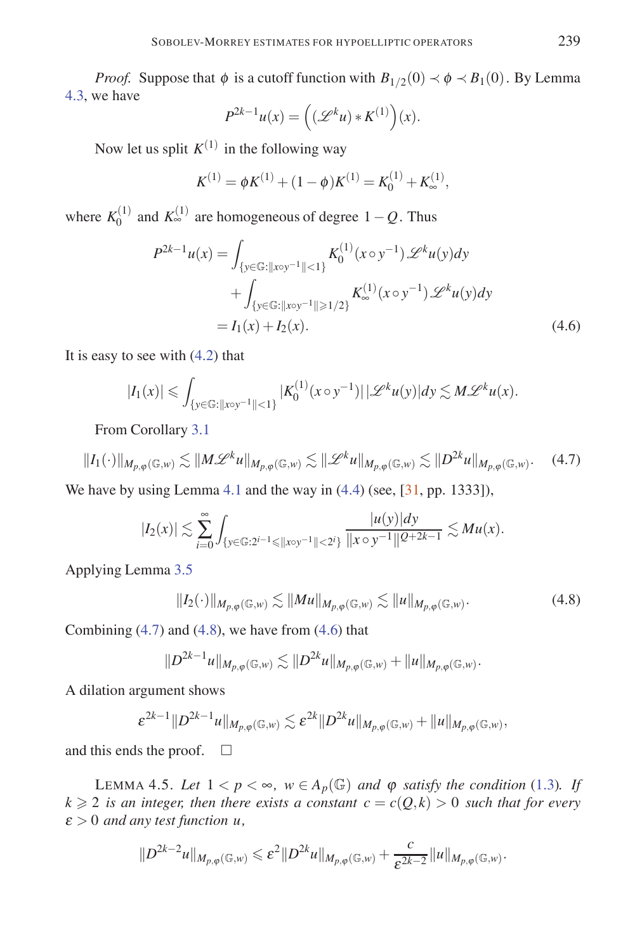*Proof.* Suppose that  $\phi$  is a cutoff function with  $B_{1/2}(0) \prec \phi \prec B_1(0)$ . By Lemma 4.3, we have

$$
P^{2k-1}u(x) = \left((\mathscr{L}^k u) * K^{(1)}\right)(x).
$$

Now let us split  $K^{(1)}$  in the following way

$$
K^{(1)} = \phi K^{(1)} + (1 - \phi)K^{(1)} = K_0^{(1)} + K_{\infty}^{(1)},
$$

where  $K_0^{(1)}$  and  $K_{\infty}^{(1)}$  are homogeneous of degree  $1-Q$ . Thus

$$
P^{2k-1}u(x) = \int_{\{y \in \mathbb{G} : ||x \circ y^{-1}|| < 1\}} K_0^{(1)}(x \circ y^{-1}) \mathcal{L}^k u(y) dy
$$

$$
+ \int_{\{y \in \mathbb{G} : ||x \circ y^{-1}|| \ge 1/2\}} K_\infty^{(1)}(x \circ y^{-1}) \mathcal{L}^k u(y) dy
$$

$$
= I_1(x) + I_2(x). \tag{4.6}
$$

It is easy to see with (4.2) that

$$
|I_1(x)| \leqslant \int_{\{y \in \mathbb{G} : \|x \circ y^{-1}\| < 1\}} |K_0^{(1)}(x \circ y^{-1})| \, | \mathscr{L}^k u(y)| dy \lesssim M \mathscr{L}^k u(x).
$$

From Corollary 3.1

$$
||I_{1}(\cdot)||_{M_{p,\varphi}(\mathbb{G},w)} \lesssim ||M\mathscr{L}^k u||_{M_{p,\varphi}(\mathbb{G},w)} \lesssim ||\mathscr{L}^k u||_{M_{p,\varphi}(\mathbb{G},w)} \lesssim ||D^{2k} u||_{M_{p,\varphi}(\mathbb{G},w)}.
$$
 (4.7)

We have by using Lemma 4.1 and the way in  $(4.4)$  (see,  $[31, pp. 1333]$ ),

$$
|I_2(x)| \lesssim \sum_{i=0}^{\infty} \int_{\{y \in \mathbb{G} : 2^{i-1} \leq ||x \circ y^{-1}|| < 2^i\}} \frac{|u(y)| dy}{||x \circ y^{-1}||^{Q+2k-1}} \lesssim Mu(x).
$$

Applying Lemma 3.5

$$
||I_2(\cdot)||_{M_{p,\varphi}(\mathbb{G},w)} \lesssim ||Mu||_{M_{p,\varphi}(\mathbb{G},w)} \lesssim ||u||_{M_{p,\varphi}(\mathbb{G},w)}.
$$
\n(4.8)

Combining  $(4.7)$  and  $(4.8)$ , we have from  $(4.6)$  that

$$
||D^{2k-1}u||_{M_{p,\varphi}(\mathbb{G},w)} \lesssim ||D^{2k}u||_{M_{p,\varphi}(\mathbb{G},w)} + ||u||_{M_{p,\varphi}(\mathbb{G},w)}.
$$

A dilation argument shows

$$
\varepsilon^{2k-1} \|D^{2k-1}u\|_{M_{p,\varphi}(\mathbb{G},w)} \lesssim \varepsilon^{2k} \|D^{2k}u\|_{M_{p,\varphi}(\mathbb{G},w)} + \|u\|_{M_{p,\varphi}(\mathbb{G},w)},
$$

and this ends the proof.  $\Box$ 

LEMMA 4.5. Let  $1 < p < \infty$ ,  $w \in A_p(\mathbb{G})$  and  $\varphi$  *satisfy the condition* (1.3). If  $k \geq 2$  *is an integer, then there exists a constant*  $c = c(Q,k) > 0$  *such that for every* <sup>ε</sup> *>* 0 *and any test function u,*

$$
||D^{2k-2}u||_{M_{p,\varphi}(\mathbb{G},w)} \leqslant \varepsilon^2 ||D^{2k}u||_{M_{p,\varphi}(\mathbb{G},w)} + \frac{c}{\varepsilon^{2k-2}} ||u||_{M_{p,\varphi}(\mathbb{G},w)}.
$$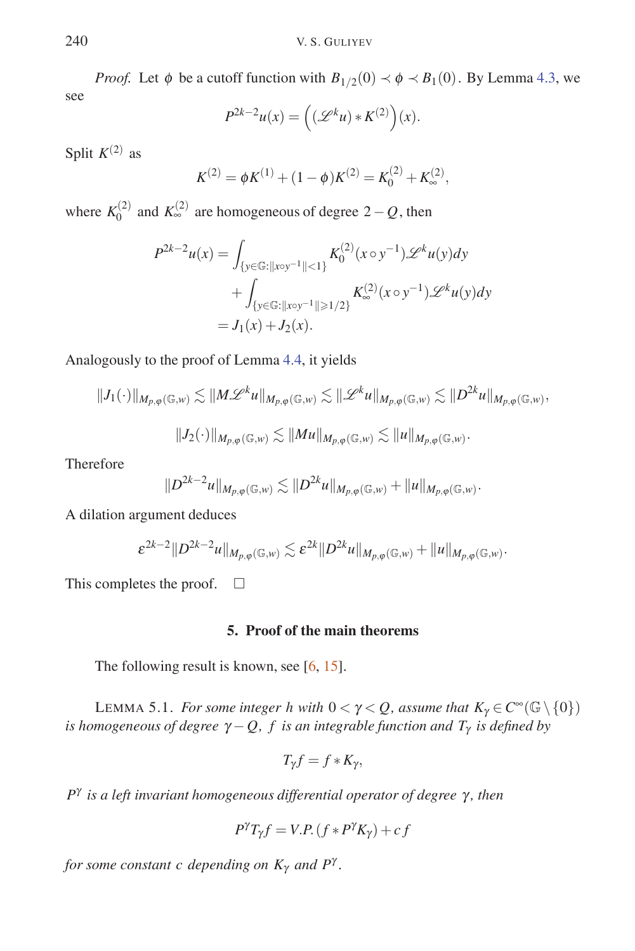*Proof.* Let  $\phi$  be a cutoff function with  $B_{1/2}(0) \prec \phi \prec B_1(0)$ . By Lemma 4.3, we see

$$
P^{2k-2}u(x) = \left((\mathscr{L}^k u) * K^{(2)}\right)(x).
$$

Split  $K^{(2)}$  as

$$
K^{(2)} = \phi K^{(1)} + (1 - \phi)K^{(2)} = K_0^{(2)} + K_{\infty}^{(2)},
$$

where  $K_0^{(2)}$  and  $K_{\infty}^{(2)}$  are homogeneous of degree 2 – Q, then

$$
P^{2k-2}u(x) = \int_{\{y \in \mathbb{G} : ||x \circ y^{-1}|| < 1\}} K_0^{(2)}(x \circ y^{-1}) \mathcal{L}^k u(y) dy
$$
  
+ 
$$
\int_{\{y \in \mathbb{G} : ||x \circ y^{-1}|| \ge 1/2\}} K_{\infty}^{(2)}(x \circ y^{-1}) \mathcal{L}^k u(y) dy
$$
  
=  $J_1(x) + J_2(x).$ 

Analogously to the proof of Lemma 4.4, it yields

$$
||J_1(\cdot)||_{M_{p,\varphi}(\mathbb{G},w)} \lesssim ||M\mathscr{L}^k u||_{M_{p,\varphi}(\mathbb{G},w)} \lesssim ||\mathscr{L}^k u||_{M_{p,\varphi}(\mathbb{G},w)} \lesssim ||D^{2k} u||_{M_{p,\varphi}(\mathbb{G},w)},
$$
  

$$
||J_2(\cdot)||_{M_{p,\varphi}(\mathbb{G},w)} \lesssim ||Mu||_{M_{p,\varphi}(\mathbb{G},w)} \lesssim ||u||_{M_{p,\varphi}(\mathbb{G},w)}.
$$

Therefore

$$
||D^{2k-2}u||_{M_{p,\varphi}(\mathbb{G},w)} \lesssim ||D^{2k}u||_{M_{p,\varphi}(\mathbb{G},w)} + ||u||_{M_{p,\varphi}(\mathbb{G},w)}.
$$

A dilation argument deduces

$$
\varepsilon^{2k-2} \|D^{2k-2}u\|_{M_{p,\varphi}(\mathbb{G},w)} \lesssim \varepsilon^{2k} \|D^{2k}u\|_{M_{p,\varphi}(\mathbb{G},w)} + \|u\|_{M_{p,\varphi}(\mathbb{G},w)}.
$$

This completes the proof.  $\square$ 

#### **5. Proof of the main theorems**

The following result is known, see [6, 15].

LEMMA 5.1. *For some integer h with*  $0 < \gamma < Q$ , assume that  $K_{\gamma} \in C^{\infty}(\mathbb{G} \setminus \{0\})$ *is homogeneous of degree*  $\gamma - Q$ , *f is an integrable function and T<sub>γ</sub> is defined by* 

$$
T_{\gamma}f = f * K_{\gamma},
$$

*P*<sup>γ</sup> *is a left invariant homogeneous differential operator of degree* γ *, then*

$$
P^{\gamma}T_{\gamma}f = V.P. (f * P^{\gamma}K_{\gamma}) + cf
$$

*for some constant c depending on K*<sup>γ</sup> *and P*<sup>γ</sup> *.*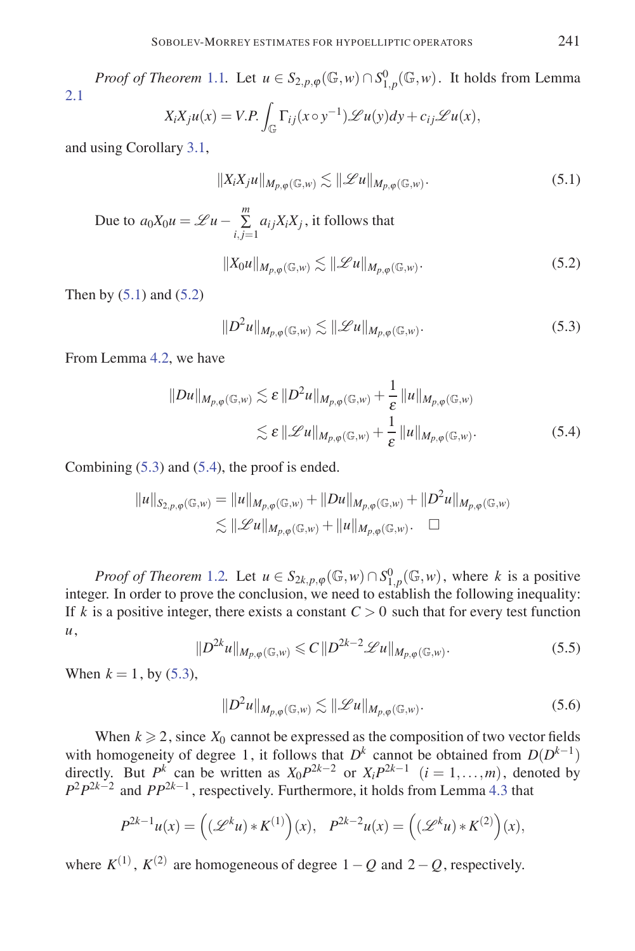*Proof of Theorem* 1.1*.* Let  $u \in S_{2,p,\varphi}(\mathbb{G},w) \cap S^0_{1,p}(\mathbb{G},w)$ . It holds from Lemma 2.1

$$
X_i X_j u(x) = V.P. \int_{\mathbb{G}} \Gamma_{ij}(x \circ y^{-1}) \mathscr{L} u(y) dy + c_{ij} \mathscr{L} u(x),
$$

and using Corollary 3.1,

$$
||X_i X_j u||_{M_{p,\varphi}(\mathbb{G},w)} \lesssim ||\mathcal{L}u||_{M_{p,\varphi}(\mathbb{G},w)}.
$$
\n(5.1)

Due to  $a_0X_0u = \mathscr{L}u - \sum_{i,j=1}^m a_{ij}X_iX_j$ , it follows that

$$
||X_0u||_{M_{p,\varphi}(\mathbb{G},w)} \lesssim ||\mathcal{L}u||_{M_{p,\varphi}(\mathbb{G},w)}.
$$
\n(5.2)

Then by  $(5.1)$  and  $(5.2)$ 

$$
||D^2u||_{M_{p,\varphi}(\mathbb{G},w)} \lesssim ||\mathcal{L}u||_{M_{p,\varphi}(\mathbb{G},w)}.
$$
\n(5.3)

From Lemma 4.2, we have

$$
||Du||_{M_{p,\varphi}(\mathbb{G},w)} \lesssim \varepsilon ||D^2u||_{M_{p,\varphi}(\mathbb{G},w)} + \frac{1}{\varepsilon} ||u||_{M_{p,\varphi}(\mathbb{G},w)}
$$
  

$$
\lesssim \varepsilon ||\mathscr{L}u||_{M_{p,\varphi}(\mathbb{G},w)} + \frac{1}{\varepsilon} ||u||_{M_{p,\varphi}(\mathbb{G},w)}.
$$
 (5.4)

Combining (5.3) and (5.4), the proof is ended.

$$
||u||_{S_{2,p,\varphi}(\mathbb{G},w)} = ||u||_{M_{p,\varphi}(\mathbb{G},w)} + ||Du||_{M_{p,\varphi}(\mathbb{G},w)} + ||D^2u||_{M_{p,\varphi}(\mathbb{G},w)}
$$
  

$$
\lesssim ||\mathscr{L}u||_{M_{p,\varphi}(\mathbb{G},w)} + ||u||_{M_{p,\varphi}(\mathbb{G},w)} \quad \Box
$$

*Proof of Theorem* 1.2*.* Let  $u \in S_{2k, p, \varphi}(\mathbb{G}, w) \cap S_{1, p}^0(\mathbb{G}, w)$ , where *k* is a positive integer. In order to prove the conclusion, we need to establish the following inequality: If *k* is a positive integer, there exists a constant  $C > 0$  such that for every test function *u*,

$$
||D^{2k}u||_{M_{p,\varphi}(\mathbb{G},w)} \leq C||D^{2k-2}\mathscr{L}u||_{M_{p,\varphi}(\mathbb{G},w)}.
$$
\n(5.5)

When  $k = 1$ , by (5.3),

$$
||D^2u||_{M_{p,\varphi}(\mathbb{G},w)} \lesssim ||\mathcal{L}u||_{M_{p,\varphi}(\mathbb{G},w)}.
$$
\n(5.6)

When  $k \ge 2$ , since  $X_0$  cannot be expressed as the composition of two vector fields with homogeneity of degree 1, it follows that  $D^k$  cannot be obtained from  $D(D^{k-1})$ directly. But *P*<sup>*k*</sup> can be written as  $X_0 P^{2k-2}$  or  $X_i P^{2k-1}$   $(i = 1, ..., m)$ , denoted by *P*<sup>2</sup>*P*<sup>2*k*−2</sup> and *PP*<sup>2*k*−1</sup>, respectively. Furthermore, it holds from Lemma 4.3 that

$$
P^{2k-1}u(x) = \left((\mathscr{L}^k u) * K^{(1)}\right)(x), \quad P^{2k-2}u(x) = \left((\mathscr{L}^k u) * K^{(2)}\right)(x),
$$

where  $K^{(1)}$ ,  $K^{(2)}$  are homogeneous of degree  $1-Q$  and  $2-Q$ , respectively.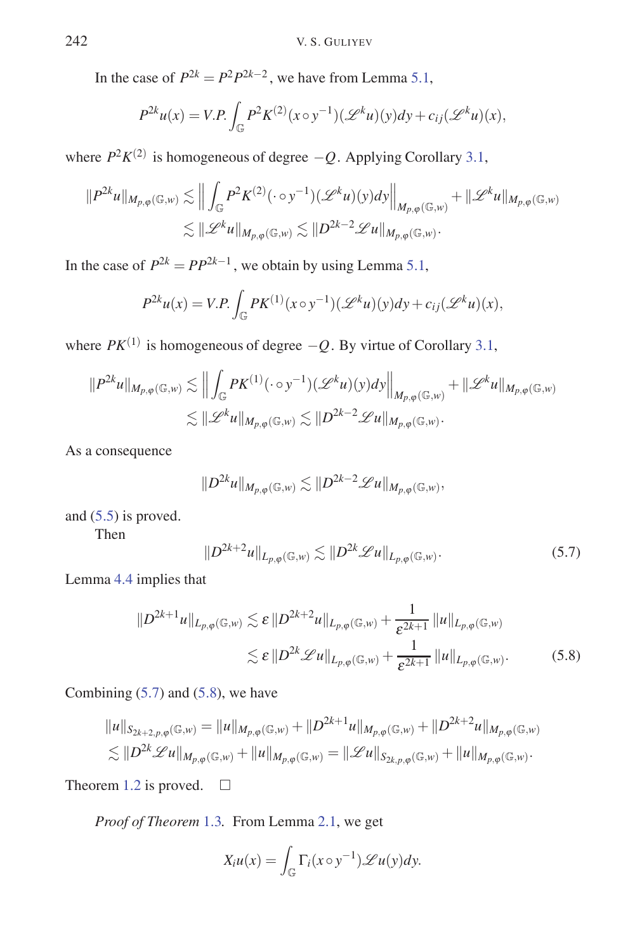In the case of  $P^{2k} = P^2 P^{2k-2}$ , we have from Lemma 5.1,

$$
P^{2k}u(x) = V.P. \int_{\mathbb{G}} P^2 K^{(2)}(x \circ y^{-1})(\mathscr{L}^k u)(y) dy + c_{ij}(\mathscr{L}^k u)(x),
$$

where  $P^2 K^{(2)}$  is homogeneous of degree  $-Q$ . Applying Corollary 3.1,

$$
||P^{2k}u||_{M_{p,\varphi}(\mathbb{G},w)} \lesssim ||\int_{\mathbb{G}} P^2 K^{(2)}(\cdot \circ y^{-1})(\mathscr{L}^k u)(y) dy||_{M_{p,\varphi}(\mathbb{G},w)} + ||\mathscr{L}^k u||_{M_{p,\varphi}(\mathbb{G},w)}
$$
  

$$
\lesssim ||\mathscr{L}^k u||_{M_{p,\varphi}(\mathbb{G},w)} \lesssim ||D^{2k-2}\mathscr{L}u||_{M_{p,\varphi}(\mathbb{G},w)}.
$$

In the case of  $P^{2k} = PP^{2k-1}$ , we obtain by using Lemma 5.1,

$$
P^{2k}u(x) = V.P. \int_{\mathbb{G}} PK^{(1)}(x \circ y^{-1})(\mathscr{L}^k u)(y) dy + c_{ij}(\mathscr{L}^k u)(x),
$$

where  $PK^{(1)}$  is homogeneous of degree  $-Q$ . By virtue of Corollary 3.1,

$$
\|P^{2k}u\|_{M_{p,\varphi}(\mathbb{G},w)} \lesssim \Big\| \int_{\mathbb{G}} PK^{(1)}(\cdot \circ y^{-1})(\mathscr{L}^k u)(y) dy \Big\|_{M_{p,\varphi}(\mathbb{G},w)} + \|\mathscr{L}^k u\|_{M_{p,\varphi}(\mathbb{G},w)}
$$
  

$$
\lesssim \|\mathscr{L}^k u\|_{M_{p,\varphi}(\mathbb{G},w)} \lesssim \|D^{2k-2}\mathscr{L}u\|_{M_{p,\varphi}(\mathbb{G},w)}.
$$

As a consequence

$$
||D^{2k}u||_{M_{p,\varphi}(\mathbb{G},w)} \lesssim ||D^{2k-2}\mathscr{L}u||_{M_{p,\varphi}(\mathbb{G},w)},
$$

and (5.5) is proved.

Then

$$
||D^{2k+2}u||_{L_{p,\varphi}(\mathbb{G},w)} \lesssim ||D^{2k}\mathscr{L}u||_{L_{p,\varphi}(\mathbb{G},w)}.
$$
\n(5.7)

Lemma 4.4 implies that

$$
||D^{2k+1}u||_{L_{p,\varphi}(\mathbb{G},w)} \lesssim \varepsilon ||D^{2k+2}u||_{L_{p,\varphi}(\mathbb{G},w)} + \frac{1}{\varepsilon^{2k+1}} ||u||_{L_{p,\varphi}(\mathbb{G},w)}
$$
  

$$
\lesssim \varepsilon ||D^{2k} \mathscr{L}u||_{L_{p,\varphi}(\mathbb{G},w)} + \frac{1}{\varepsilon^{2k+1}} ||u||_{L_{p,\varphi}(\mathbb{G},w)}.
$$
(5.8)

Combining  $(5.7)$  and  $(5.8)$ , we have

$$
||u||_{S_{2k+2,p,\varphi}(\mathbb{G},w)} = ||u||_{M_{p,\varphi}(\mathbb{G},w)} + ||D^{2k+1}u||_{M_{p,\varphi}(\mathbb{G},w)} + ||D^{2k+2}u||_{M_{p,\varphi}(\mathbb{G},w)} \leq ||D^{2k} \mathscr{L}u||_{M_{p,\varphi}(\mathbb{G},w)} + ||u||_{M_{p,\varphi}(\mathbb{G},w)} = ||\mathscr{L}u||_{S_{2k,p,\varphi}(\mathbb{G},w)} + ||u||_{M_{p,\varphi}(\mathbb{G},w)}.
$$

Theorem 1.2 is proved.  $\square$ 

*Proof of Theorem* 1.3*.* From Lemma 2.1, we get

$$
X_i u(x) = \int_{\mathbb{G}} \Gamma_i(x \circ y^{-1}) \mathscr{L} u(y) dy.
$$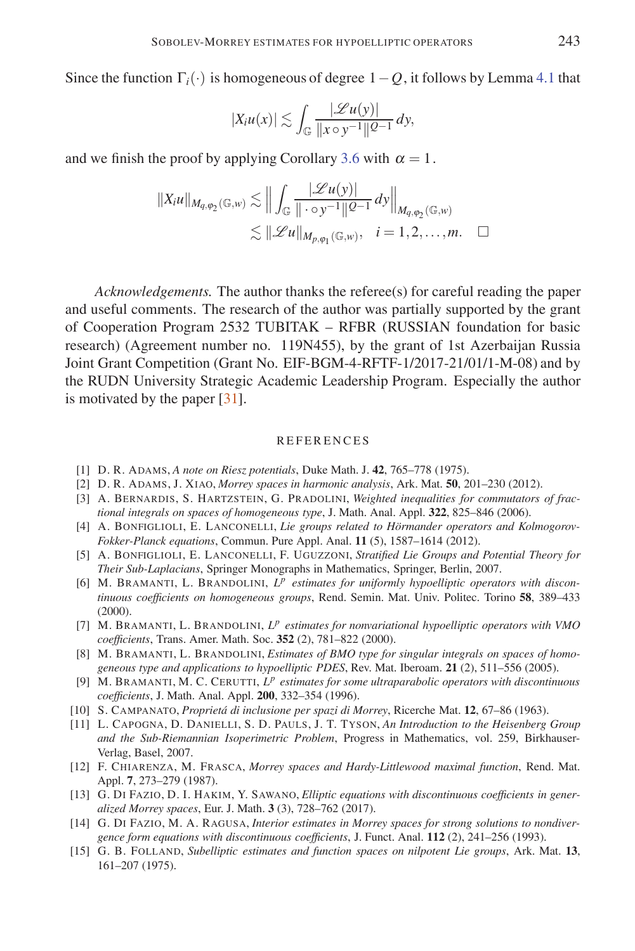Since the function  $\Gamma_i(\cdot)$  is homogeneous of degree  $1-O$ , it follows by Lemma 4.1 that

$$
|X_i u(x)| \lesssim \int_{\mathbb{G}} \frac{|\mathscr{L} u(y)|}{\|x \circ y^{-1}\| \mathcal{Q}^{-1}} dy,
$$

and we finish the proof by applying Corollary 3.6 with  $\alpha = 1$ .

$$
||X_iu||_{M_{q,\varphi_2}(\mathbb{G},w)} \lesssim \Big\| \int_{\mathbb{G}} \frac{|\mathscr{L}u(y)|}{\|\cdot \circ y^{-1}\| \mathcal{Q}^{-1}} dy \Big\|_{M_{q,\varphi_2}(\mathbb{G},w)}
$$
  

$$
\lesssim ||\mathscr{L}u||_{M_{p,\varphi_1}(\mathbb{G},w)}, \quad i = 1,2,\ldots,m. \quad \Box
$$

*Acknowledgements.* The author thanks the referee(s) for careful reading the paper and useful comments. The research of the author was partially supported by the grant of Cooperation Program 2532 TUBITAK – RFBR (RUSSIAN foundation for basic research) (Agreement number no. 119N455), by the grant of 1st Azerbaijan Russia Joint Grant Competition (Grant No. EIF-BGM-4-RFTF-1/2017-21/01/1-M-08) and by the RUDN University Strategic Academic Leadership Program. Especially the author is motivated by the paper [31].

#### REFERENCES

- [1] D. R. ADAMS, *A note on Riesz potentials*, Duke Math. J. **42**, 765–778 (1975).
- [2] D. R. ADAMS, J. XIAO, *Morrey spaces in harmonic analysis*, Ark. Mat. **50**, 201–230 (2012).
- [3] A. BERNARDIS, S. HARTZSTEIN, G. PRADOLINI, *Weighted inequalities for commutators of fractional integrals on spaces of homogeneous type*, J. Math. Anal. Appl. **322**, 825–846 (2006).
- [4] A. BONFIGLIOLI, E. LANCONELLI, *Lie groups related to Hörmander operators and Kolmogorov-Fokker-Planck equations*, Commun. Pure Appl. Anal. **11** (5), 1587–1614 (2012).
- [5] A. BONFIGLIOLI, E. LANCONELLI, F. UGUZZONI, *Stratified Lie Groups and Potential Theory for Their Sub-Laplacians*, Springer Monographs in Mathematics, Springer, Berlin, 2007.
- [6] M. BRAMANTI, L. BRANDOLINI, *L<sup>p</sup> estimates for uniformly hypoelliptic operators with discontinuous coefficients on homogeneous groups*, Rend. Semin. Mat. Univ. Politec. Torino **58**, 389–433 (2000).
- [7] M. BRAMANTI, L. BRANDOLINI, *L<sup>p</sup> estimates for nonvariational hypoelliptic operators with VMO coefficients*, Trans. Amer. Math. Soc. **352** (2), 781–822 (2000).
- [8] M. BRAMANTI, L. BRANDOLINI, *Estimates of BMO type for singular integrals on spaces of homogeneous type and applications to hypoelliptic PDES*, Rev. Mat. Iberoam. **21** (2), 511–556 (2005).
- [9] M. BRAMANTI, M. C. CERUTTI, *L<sup>p</sup> estimates for some ultraparabolic operators with discontinuous coefficients*, J. Math. Anal. Appl. **200**, 332–354 (1996).
- [10] S. CAMPANATO, *Propriet´a di inclusione per spazi di Morrey*, Ricerche Mat. **12**, 67–86 (1963).
- [11] L. CAPOGNA, D. DANIELLI, S. D. PAULS, J. T. TYSON, *An Introduction to the Heisenberg Group and the Sub-Riemannian Isoperimetric Problem*, Progress in Mathematics, vol. 259, Birkhauser-Verlag, Basel, 2007.
- [12] F. CHIARENZA, M. FRASCA, *Morrey spaces and Hardy-Littlewood maximal function*, Rend. Mat. Appl. **7**, 273–279 (1987).
- [13] G. DI FAZIO, D. I. HAKIM, Y. SAWANO, *Elliptic equations with discontinuous coefficients in generalized Morrey spaces*, Eur. J. Math. **3** (3), 728–762 (2017).
- [14] G. DI FAZIO, M. A. RAGUSA, *Interior estimates in Morrey spaces for strong solutions to nondivergence form equations with discontinuous coefficients*, J. Funct. Anal. **112** (2), 241–256 (1993).
- [15] G. B. FOLLAND, *Subelliptic estimates and function spaces on nilpotent Lie groups*, Ark. Mat. **13**, 161–207 (1975).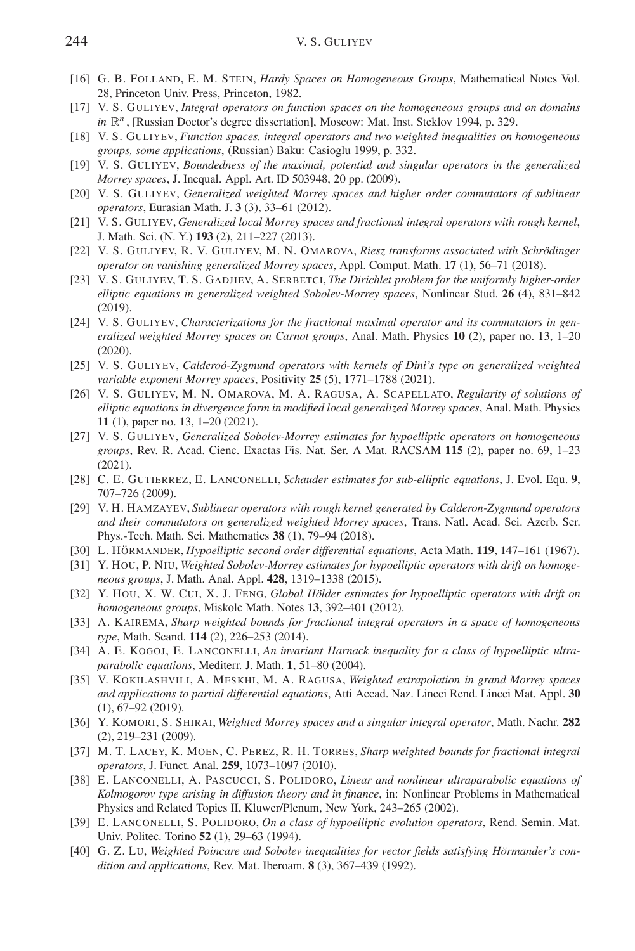- [16] G. B. FOLLAND, E. M. STEIN, *Hardy Spaces on Homogeneous Groups*, Mathematical Notes Vol. 28, Princeton Univ. Press, Princeton, 1982.
- [17] V. S. GULIYEV, *Integral operators on function spaces on the homogeneous groups and on domains in*  $\mathbb{R}^n$ , [Russian Doctor's degree dissertation], Moscow: Mat. Inst. Steklov 1994, p. 329.
- [18] V. S. GULIYEV, *Function spaces, integral operators and two weighted inequalities on homogeneous groups, some applications*, (Russian) Baku: Casioglu 1999, p. 332.
- [19] V. S. GULIYEV, *Boundedness of the maximal, potential and singular operators in the generalized Morrey spaces*, J. Inequal. Appl. Art. ID 503948, 20 pp. (2009).
- [20] V. S. GULIYEV, *Generalized weighted Morrey spaces and higher order commutators of sublinear operators*, Eurasian Math. J. **3** (3), 33–61 (2012).
- [21] V. S. GULIYEV, *Generalized local Morrey spaces and fractional integral operators with rough kernel*, J. Math. Sci. (N. Y.) **193** (2), 211–227 (2013).
- [22] V. S. GULIYEV, R. V. GULIYEV, M. N. OMAROVA, *Riesz transforms associated with Schrödinger operator on vanishing generalized Morrey spaces*, Appl. Comput. Math. **17** (1), 56–71 (2018).
- [23] V. S. GULIYEV, T. S. GADJIEV, A. SERBETCI, *The Dirichlet problem for the uniformly higher-order elliptic equations in generalized weighted Sobolev-Morrey spaces*, Nonlinear Stud. **26** (4), 831–842 (2019).
- [24] V. S. GULIYEV, *Characterizations for the fractional maximal operator and its commutators in generalized weighted Morrey spaces on Carnot groups*, Anal. Math. Physics **10** (2), paper no. 13, 1–20 (2020).
- [25] V. S. GULIYEV, *Calderoó-Zygmund operators with kernels of Dini's type on generalized weighted variable exponent Morrey spaces*, Positivity **25** (5), 1771–1788 (2021).
- [26] V. S. GULIYEV, M. N. OMAROVA, M. A. RAGUSA, A. SCAPELLATO, *Regularity of solutions of elliptic equations in divergence form in modified local generalized Morrey spaces*, Anal. Math. Physics **11** (1), paper no. 13, 1–20 (2021).
- [27] V. S. GULIYEV, *Generalized Sobolev-Morrey estimates for hypoelliptic operators on homogeneous groups*, Rev. R. Acad. Cienc. Exactas Fis. Nat. Ser. A Mat. RACSAM **115** (2), paper no. 69, 1–23 (2021).
- [28] C. E. GUTIERREZ, E. LANCONELLI, *Schauder estimates for sub-elliptic equations*, J. Evol. Equ. **9**, 707–726 (2009).
- [29] V. H. HAMZAYEV, *Sublinear operators with rough kernel generated by Calderon-Zygmund operators and their commutators on generalized weighted Morrey spaces*, Trans. Natl. Acad. Sci. Azerb. Ser. Phys.-Tech. Math. Sci. Mathematics **38** (1), 79–94 (2018).
- [30] L. HÖRMANDER, *Hypoelliptic second order differential equations*, Acta Math. **119**, 147–161 (1967).
- [31] Y. HOU, P. NIU, *Weighted Sobolev-Morrey estimates for hypoelliptic operators with drift on homogeneous groups*, J. Math. Anal. Appl. **428**, 1319–1338 (2015).
- [32] Y. HOU, X. W. CUI, X. J. FENG, *Global Hölder estimates for hypoelliptic operators with drift on homogeneous groups*, Miskolc Math. Notes **13**, 392–401 (2012).
- [33] A. KAIREMA, *Sharp weighted bounds for fractional integral operators in a space of homogeneous type*, Math. Scand. **114** (2), 226–253 (2014).
- [34] A. E. KOGOJ, E. LANCONELLI, *An invariant Harnack inequality for a class of hypoelliptic ultraparabolic equations*, Mediterr. J. Math. **1**, 51–80 (2004).
- [35] V. KOKILASHVILI, A. MESKHI, M. A. RAGUSA, *Weighted extrapolation in grand Morrey spaces and applications to partial differential equations*, Atti Accad. Naz. Lincei Rend. Lincei Mat. Appl. **30** (1), 67–92 (2019).
- [36] Y. KOMORI, S. SHIRAI, *Weighted Morrey spaces and a singular integral operator*, Math. Nachr. **282** (2), 219–231 (2009).
- [37] M. T. LACEY, K. MOEN, C. PEREZ, R. H. TORRES, *Sharp weighted bounds for fractional integral operators*, J. Funct. Anal. **259**, 1073–1097 (2010).
- [38] E. LANCONELLI, A. PASCUCCI, S. POLIDORO, *Linear and nonlinear ultraparabolic equations of Kolmogorov type arising in diffusion theory and in finance*, in: Nonlinear Problems in Mathematical Physics and Related Topics II, Kluwer/Plenum, New York, 243–265 (2002).
- [39] E. LANCONELLI, S. POLIDORO, *On a class of hypoelliptic evolution operators*, Rend. Semin. Mat. Univ. Politec. Torino **52** (1), 29–63 (1994).
- [40] G. Z. Lu, *Weighted Poincare and Sobolev inequalities for vector fields satisfying Hörmander's condition and applications*, Rev. Mat. Iberoam. **8** (3), 367–439 (1992).